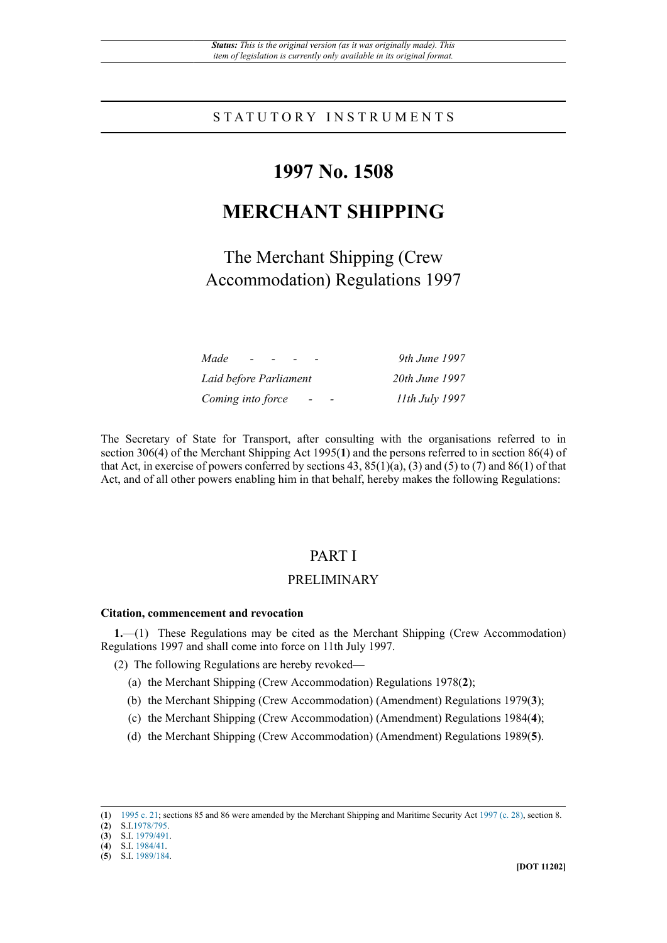## STATUTORY INSTRUMENTS

# **1997 No. 1508**

# **MERCHANT SHIPPING**

The Merchant Shipping (Crew Accommodation) Regulations 1997

| Made<br>.                                     | 9th June 1997  |
|-----------------------------------------------|----------------|
| Laid before Parliament                        | 20th June 1997 |
| Coming into force<br>$\overline{\phantom{a}}$ | 11th July 1997 |

The Secretary of State for Transport, after consulting with the organisations referred to in section 306(4) of the Merchant Shipping Act 1995(**1**) and the persons referred to in section 86(4) of that Act, in exercise of powers conferred by sections 43,  $85(1)(a)$ , (3) and (5) to (7) and  $86(1)$  of that Act, and of all other powers enabling him in that behalf, hereby makes the following Regulations:

## PART I

## PRELIMINARY

#### **Citation, commencement and revocation**

**1.**—(1) These Regulations may be cited as the Merchant Shipping (Crew Accommodation) Regulations 1997 and shall come into force on 11th July 1997.

- (2) The following Regulations are hereby revoked—
	- (a) the Merchant Shipping (Crew Accommodation) Regulations 1978(**2**);
	- (b) the Merchant Shipping (Crew Accommodation) (Amendment) Regulations 1979(**3**);
	- (c) the Merchant Shipping (Crew Accommodation) (Amendment) Regulations 1984(**4**);
	- (d) the Merchant Shipping (Crew Accommodation) (Amendment) Regulations 1989(**5**).

<sup>(</sup>**1**) [1995 c. 21;](http://www.legislation.gov.uk/id/ukpga/1995/21) sections 85 and 86 were amended by the Merchant Shipping and Maritime Security Act [1997 \(c. 28\)](http://www.legislation.gov.uk/id/ukpga/1997/28), section 8.

<sup>(</sup>**2**) S.I[.1978/795](http://www.legislation.gov.uk/id/uksi/1978/795).

<sup>(</sup>**3**) S.I. [1979/491](http://www.legislation.gov.uk/id/uksi/1979/491). (**4**) S.I. [1984/41](http://www.legislation.gov.uk/id/uksi/1984/41).

<sup>(</sup>**5**) S.I. [1989/184](http://www.legislation.gov.uk/id/uksi/1989/184).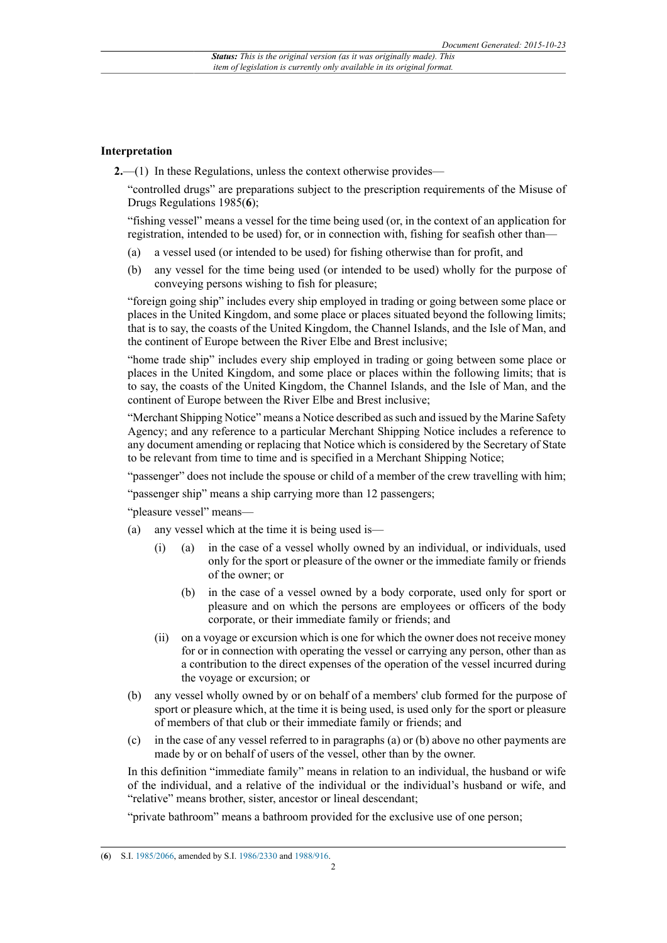#### **Interpretation**

**2.**—(1) In these Regulations, unless the context otherwise provides—

"controlled drugs" are preparations subject to the prescription requirements of the Misuse of Drugs Regulations 1985(**6**);

"fishing vessel" means a vessel for the time being used (or, in the context of an application for registration, intended to be used) for, or in connection with, fishing for seafish other than—

- (a) a vessel used (or intended to be used) for fishing otherwise than for profit, and
- (b) any vessel for the time being used (or intended to be used) wholly for the purpose of conveying persons wishing to fish for pleasure;

"foreign going ship" includes every ship employed in trading or going between some place or places in the United Kingdom, and some place or places situated beyond the following limits; that is to say, the coasts of the United Kingdom, the Channel Islands, and the Isle of Man, and the continent of Europe between the River Elbe and Brest inclusive;

"home trade ship" includes every ship employed in trading or going between some place or places in the United Kingdom, and some place or places within the following limits; that is to say, the coasts of the United Kingdom, the Channel Islands, and the Isle of Man, and the continent of Europe between the River Elbe and Brest inclusive;

"Merchant Shipping Notice" means a Notice described as such and issued by the Marine Safety Agency; and any reference to a particular Merchant Shipping Notice includes a reference to any document amending or replacing that Notice which is considered by the Secretary of State to be relevant from time to time and is specified in a Merchant Shipping Notice;

"passenger" does not include the spouse or child of a member of the crew travelling with him;

"passenger ship" means a ship carrying more than 12 passengers;

"pleasure vessel" means—

- (a) any vessel which at the time it is being used is—
	- (i) (a) in the case of a vessel wholly owned by an individual, or individuals, used only for the sport or pleasure of the owner or the immediate family or friends of the owner; or
		- (b) in the case of a vessel owned by a body corporate, used only for sport or pleasure and on which the persons are employees or officers of the body corporate, or their immediate family or friends; and
	- (ii) on a voyage or excursion which is one for which the owner does not receive money for or in connection with operating the vessel or carrying any person, other than as a contribution to the direct expenses of the operation of the vessel incurred during the voyage or excursion; or
- (b) any vessel wholly owned by or on behalf of a members' club formed for the purpose of sport or pleasure which, at the time it is being used, is used only for the sport or pleasure of members of that club or their immediate family or friends; and
- (c) in the case of any vessel referred to in paragraphs (a) or (b) above no other payments are made by or on behalf of users of the vessel, other than by the owner.

In this definition "immediate family" means in relation to an individual, the husband or wife of the individual, and a relative of the individual or the individual's husband or wife, and "relative" means brother, sister, ancestor or lineal descendant;

"private bathroom" means a bathroom provided for the exclusive use of one person;

<sup>(</sup>**6**) S.I. [1985/2066](http://www.legislation.gov.uk/id/uksi/1985/2066), amended by S.I. [1986/2330](http://www.legislation.gov.uk/id/uksi/1986/2330) and [1988/916](http://www.legislation.gov.uk/id/uksi/1988/916).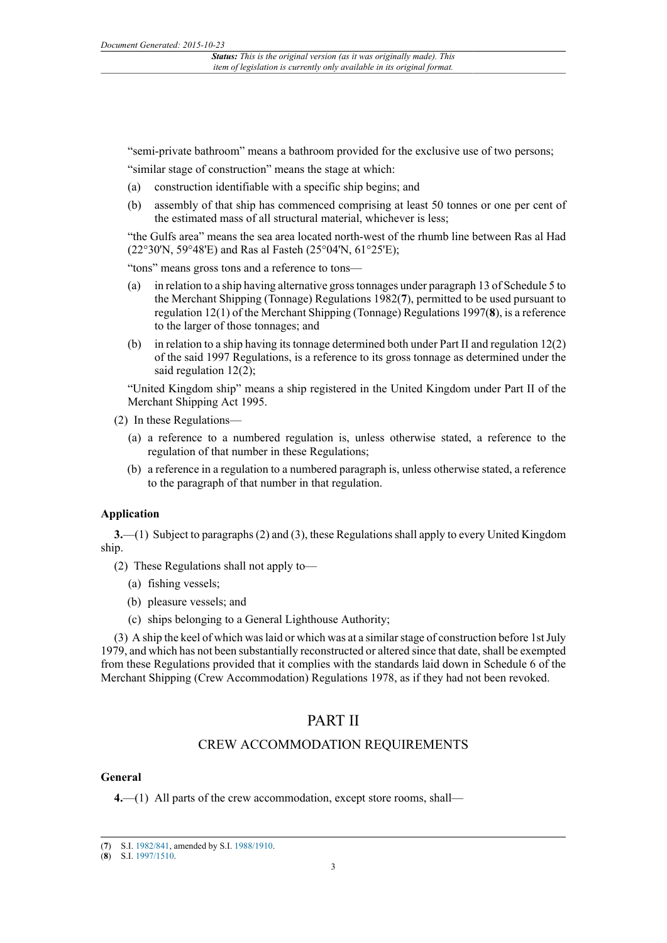"semi-private bathroom" means a bathroom provided for the exclusive use of two persons;

"similar stage of construction" means the stage at which:

- (a) construction identifiable with a specific ship begins; and
- (b) assembly of that ship has commenced comprising at least 50 tonnes or one per cent of the estimated mass of all structural material, whichever is less;

"the Gulfs area" means the sea area located north-west of the rhumb line between Ras al Had (22°30'N, 59°48'E) and Ras al Fasteh (25°04'N, 61°25'E);

"tons" means gross tons and a reference to tons—

- (a) in relation to a ship having alternative gross tonnages under paragraph 13 of Schedule 5 to the Merchant Shipping (Tonnage) Regulations 1982(**7**), permitted to be used pursuant to regulation 12(1) of the Merchant Shipping (Tonnage) Regulations 1997(**8**), is a reference to the larger of those tonnages; and
- (b) in relation to a ship having its tonnage determined both under Part II and regulation 12(2) of the said 1997 Regulations, is a reference to its gross tonnage as determined under the said regulation 12(2);

"United Kingdom ship" means a ship registered in the United Kingdom under Part II of the Merchant Shipping Act 1995.

(2) In these Regulations—

- (a) a reference to a numbered regulation is, unless otherwise stated, a reference to the regulation of that number in these Regulations;
- (b) a reference in a regulation to a numbered paragraph is, unless otherwise stated, a reference to the paragraph of that number in that regulation.

#### **Application**

**3.**—(1) Subject to paragraphs (2) and (3), these Regulations shall apply to every United Kingdom ship.

(2) These Regulations shall not apply to—

- (a) fishing vessels;
- (b) pleasure vessels; and
- (c) ships belonging to a General Lighthouse Authority;

(3) A ship the keel of which was laid or which was at a similar stage of construction before 1st July 1979, and which has not been substantially reconstructed or altered since that date, shall be exempted from these Regulations provided that it complies with the standards laid down in Schedule 6 of the Merchant Shipping (Crew Accommodation) Regulations 1978, as if they had not been revoked.

## PART II

## CREW ACCOMMODATION REQUIREMENTS

#### **General**

**4.**—(1) All parts of the crew accommodation, except store rooms, shall—

#### (**8**) S.I. [1997/1510](http://www.legislation.gov.uk/id/uksi/1997/1510).

<sup>(</sup>**7**) S.I. [1982/841](http://www.legislation.gov.uk/id/uksi/1982/841), amended by S.I. [1988/1910.](http://www.legislation.gov.uk/id/uksi/1988/1910)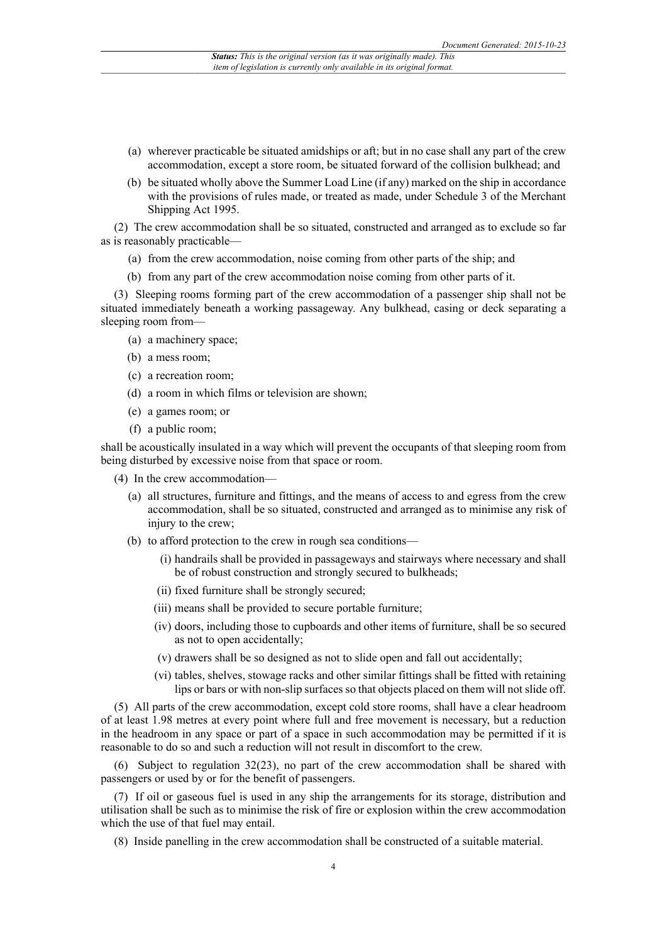- (a) wherever practicable be situated amidships or aft; but in no case shall any part of the crew accommodation, except a store room, be situated forward of the collision bulkhead; and
- (b) be situated wholly above the Summer Load Line (if any) marked on the ship in accordance with the provisions of rules made, or treated as made, under Schedule 3 of the Merchant Shipping Act 1995.

(2) The crew accommodation shall be so situated, constructed and arranged as to exclude so far as is reasonably practicable—

- (a) from the crew accommodation, noise coming from other parts of the ship; and
- (b) from any part of the crew accommodation noise coming from other parts of it.

(3) Sleeping rooms forming part of the crew accommodation of a passenger ship shall not be situated immediately beneath a working passageway. Any bulkhead, casing or deck separating a sleeping room from—

- (a) a machinery space;
- (b) a mess room;
- (c) a recreation room;
- (d) a room in which films or television are shown;
- (e) a games room; or
- (f) a public room;

shall be acoustically insulated in a way which will prevent the occupants of that sleeping room from being disturbed by excessive noise from that space or room.

- (4) In the crew accommodation—
	- (a) all structures, furniture and fittings, and the means of access to and egress from the crew accommodation, shall be so situated, constructed and arranged as to minimise any risk of injury to the crew;
	- (b) to afford protection to the crew in rough sea conditions—
		- (i) handrails shall be provided in passageways and stairways where necessary and shall be of robust construction and strongly secured to bulkheads;
		- (ii) fixed furniture shall be strongly secured;
		- (iii) means shall be provided to secure portable furniture;
		- (iv) doors, including those to cupboards and other items of furniture, shall be so secured as not to open accidentally;
		- (v) drawers shall be so designed as not to slide open and fall out accidentally;
		- (vi) tables, shelves, stowage racks and other similar fittings shall be fitted with retaining lips or bars or with non-slip surfaces so that objects placed on them will not slide off.

(5) All parts of the crew accommodation, except cold store rooms, shall have a clear headroom of at least 1.98 metres at every point where full and free movement is necessary, but a reduction in the headroom in any space or part of a space in such accommodation may be permitted if it is reasonable to do so and such a reduction will not result in discomfort to the crew.

(6) Subject to regulation 32(23), no part of the crew accommodation shall be shared with passengers or used by or for the benefit of passengers.

(7) If oil or gaseous fuel is used in any ship the arrangements for its storage, distribution and utilisation shall be such as to minimise the risk of fire or explosion within the crew accommodation which the use of that fuel may entail.

(8) Inside panelling in the crew accommodation shall be constructed of a suitable material.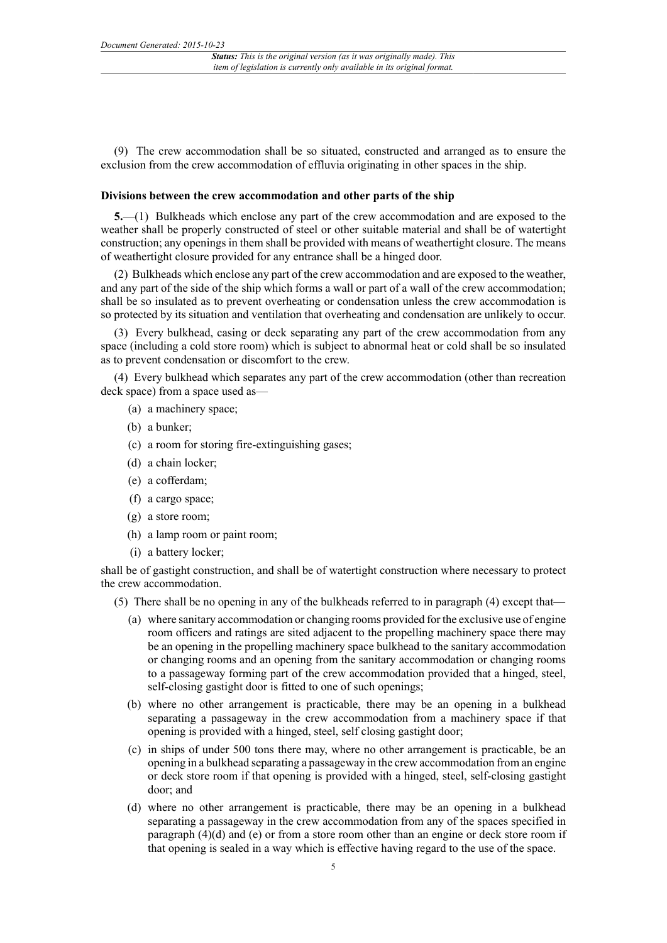(9) The crew accommodation shall be so situated, constructed and arranged as to ensure the exclusion from the crew accommodation of effluvia originating in other spaces in the ship.

#### **Divisions between the crew accommodation and other parts of the ship**

**5.**—(1) Bulkheads which enclose any part of the crew accommodation and are exposed to the weather shall be properly constructed of steel or other suitable material and shall be of watertight construction; any openings in them shall be provided with means of weathertight closure. The means of weathertight closure provided for any entrance shall be a hinged door.

(2) Bulkheads which enclose any part of the crew accommodation and are exposed to the weather, and any part of the side of the ship which forms a wall or part of a wall of the crew accommodation; shall be so insulated as to prevent overheating or condensation unless the crew accommodation is so protected by its situation and ventilation that overheating and condensation are unlikely to occur.

(3) Every bulkhead, casing or deck separating any part of the crew accommodation from any space (including a cold store room) which is subject to abnormal heat or cold shall be so insulated as to prevent condensation or discomfort to the crew.

(4) Every bulkhead which separates any part of the crew accommodation (other than recreation deck space) from a space used as—

- (a) a machinery space;
- (b) a bunker;
- (c) a room for storing fire-extinguishing gases;
- (d) a chain locker;
- (e) a cofferdam;
- (f) a cargo space;
- (g) a store room;
- (h) a lamp room or paint room;
- (i) a battery locker;

shall be of gastight construction, and shall be of watertight construction where necessary to protect the crew accommodation.

- (5) There shall be no opening in any of the bulkheads referred to in paragraph (4) except that—
	- (a) where sanitary accommodation or changing rooms provided for the exclusive use of engine room officers and ratings are sited adjacent to the propelling machinery space there may be an opening in the propelling machinery space bulkhead to the sanitary accommodation or changing rooms and an opening from the sanitary accommodation or changing rooms to a passageway forming part of the crew accommodation provided that a hinged, steel, self-closing gastight door is fitted to one of such openings;
	- (b) where no other arrangement is practicable, there may be an opening in a bulkhead separating a passageway in the crew accommodation from a machinery space if that opening is provided with a hinged, steel, self closing gastight door;
	- (c) in ships of under 500 tons there may, where no other arrangement is practicable, be an opening in a bulkhead separating a passageway in the crew accommodation from an engine or deck store room if that opening is provided with a hinged, steel, self-closing gastight door; and
	- (d) where no other arrangement is practicable, there may be an opening in a bulkhead separating a passageway in the crew accommodation from any of the spaces specified in paragraph  $(4)(d)$  and  $(e)$  or from a store room other than an engine or deck store room if that opening is sealed in a way which is effective having regard to the use of the space.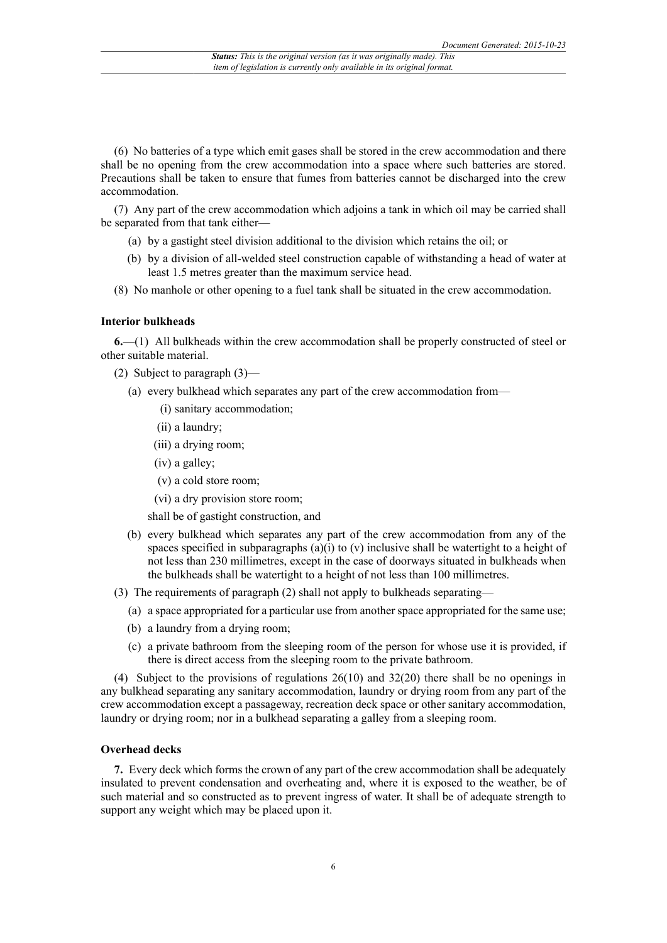(6) No batteries of a type which emit gases shall be stored in the crew accommodation and there shall be no opening from the crew accommodation into a space where such batteries are stored. Precautions shall be taken to ensure that fumes from batteries cannot be discharged into the crew accommodation.

(7) Any part of the crew accommodation which adjoins a tank in which oil may be carried shall be separated from that tank either—

- (a) by a gastight steel division additional to the division which retains the oil; or
- (b) by a division of all-welded steel construction capable of withstanding a head of water at least 1.5 metres greater than the maximum service head.
- (8) No manhole or other opening to a fuel tank shall be situated in the crew accommodation.

#### **Interior bulkheads**

**6.**—(1) All bulkheads within the crew accommodation shall be properly constructed of steel or other suitable material.

- (2) Subject to paragraph (3)—
	- (a) every bulkhead which separates any part of the crew accommodation from—
		- (i) sanitary accommodation;
		- (ii) a laundry;
		- (iii) a drying room;
		- (iv) a galley;
		- (v) a cold store room;
		- (vi) a dry provision store room;

shall be of gastight construction, and

- (b) every bulkhead which separates any part of the crew accommodation from any of the spaces specified in subparagraphs  $(a)(i)$  to  $(v)$  inclusive shall be watertight to a height of not less than 230 millimetres, except in the case of doorways situated in bulkheads when the bulkheads shall be watertight to a height of not less than 100 millimetres.
- (3) The requirements of paragraph (2) shall not apply to bulkheads separating—
	- (a) a space appropriated for a particular use from another space appropriated for the same use;
	- (b) a laundry from a drying room;
	- (c) a private bathroom from the sleeping room of the person for whose use it is provided, if there is direct access from the sleeping room to the private bathroom.

(4) Subject to the provisions of regulations 26(10) and 32(20) there shall be no openings in any bulkhead separating any sanitary accommodation, laundry or drying room from any part of the crew accommodation except a passageway, recreation deck space or other sanitary accommodation, laundry or drying room; nor in a bulkhead separating a galley from a sleeping room.

#### **Overhead decks**

**7.** Every deck which forms the crown of any part of the crew accommodation shall be adequately insulated to prevent condensation and overheating and, where it is exposed to the weather, be of such material and so constructed as to prevent ingress of water. It shall be of adequate strength to support any weight which may be placed upon it.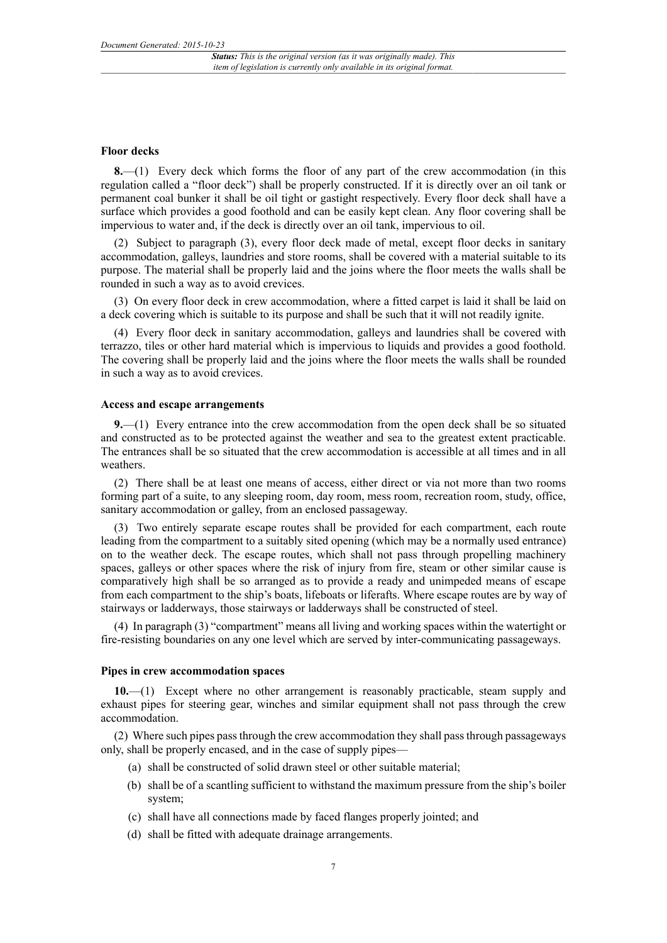#### **Floor decks**

**8.**—(1) Every deck which forms the floor of any part of the crew accommodation (in this regulation called a "floor deck") shall be properly constructed. If it is directly over an oil tank or permanent coal bunker it shall be oil tight or gastight respectively. Every floor deck shall have a surface which provides a good foothold and can be easily kept clean. Any floor covering shall be impervious to water and, if the deck is directly over an oil tank, impervious to oil.

(2) Subject to paragraph (3), every floor deck made of metal, except floor decks in sanitary accommodation, galleys, laundries and store rooms, shall be covered with a material suitable to its purpose. The material shall be properly laid and the joins where the floor meets the walls shall be rounded in such a way as to avoid crevices.

(3) On every floor deck in crew accommodation, where a fitted carpet is laid it shall be laid on a deck covering which is suitable to its purpose and shall be such that it will not readily ignite.

(4) Every floor deck in sanitary accommodation, galleys and laundries shall be covered with terrazzo, tiles or other hard material which is impervious to liquids and provides a good foothold. The covering shall be properly laid and the joins where the floor meets the walls shall be rounded in such a way as to avoid crevices.

#### **Access and escape arrangements**

**9.**—(1) Every entrance into the crew accommodation from the open deck shall be so situated and constructed as to be protected against the weather and sea to the greatest extent practicable. The entrances shall be so situated that the crew accommodation is accessible at all times and in all weathers.

(2) There shall be at least one means of access, either direct or via not more than two rooms forming part of a suite, to any sleeping room, day room, mess room, recreation room, study, office, sanitary accommodation or galley, from an enclosed passageway.

(3) Two entirely separate escape routes shall be provided for each compartment, each route leading from the compartment to a suitably sited opening (which may be a normally used entrance) on to the weather deck. The escape routes, which shall not pass through propelling machinery spaces, galleys or other spaces where the risk of injury from fire, steam or other similar cause is comparatively high shall be so arranged as to provide a ready and unimpeded means of escape from each compartment to the ship's boats, lifeboats or liferafts. Where escape routes are by way of stairways or ladderways, those stairways or ladderways shall be constructed of steel.

(4) In paragraph (3) "compartment" means all living and working spaces within the watertight or fire-resisting boundaries on any one level which are served by inter-communicating passageways.

#### **Pipes in crew accommodation spaces**

**10.**—(1) Except where no other arrangement is reasonably practicable, steam supply and exhaust pipes for steering gear, winches and similar equipment shall not pass through the crew accommodation.

(2) Where such pipes pass through the crew accommodation they shall pass through passageways only, shall be properly encased, and in the case of supply pipes—

- (a) shall be constructed of solid drawn steel or other suitable material;
- (b) shall be of a scantling sufficient to withstand the maximum pressure from the ship's boiler system;
- (c) shall have all connections made by faced flanges properly jointed; and
- (d) shall be fitted with adequate drainage arrangements.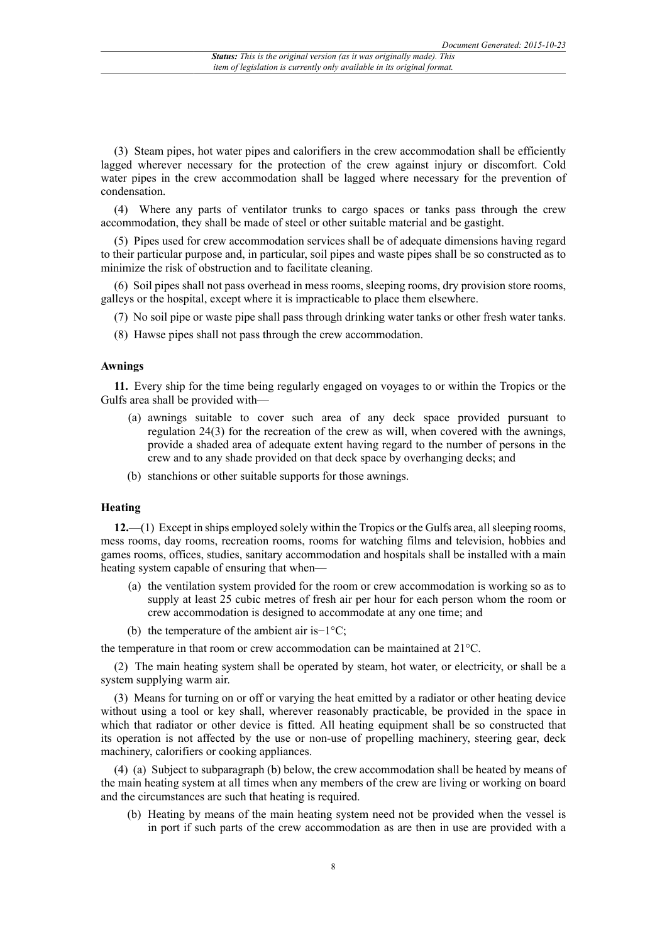(3) Steam pipes, hot water pipes and calorifiers in the crew accommodation shall be efficiently lagged wherever necessary for the protection of the crew against injury or discomfort. Cold water pipes in the crew accommodation shall be lagged where necessary for the prevention of condensation.

(4) Where any parts of ventilator trunks to cargo spaces or tanks pass through the crew accommodation, they shall be made of steel or other suitable material and be gastight.

(5) Pipes used for crew accommodation services shall be of adequate dimensions having regard to their particular purpose and, in particular, soil pipes and waste pipes shall be so constructed as to minimize the risk of obstruction and to facilitate cleaning.

(6) Soil pipes shall not pass overhead in mess rooms, sleeping rooms, dry provision store rooms, galleys or the hospital, except where it is impracticable to place them elsewhere.

(7) No soil pipe or waste pipe shall pass through drinking water tanks or other fresh water tanks.

(8) Hawse pipes shall not pass through the crew accommodation.

#### **Awnings**

**11.** Every ship for the time being regularly engaged on voyages to or within the Tropics or the Gulfs area shall be provided with—

- (a) awnings suitable to cover such area of any deck space provided pursuant to regulation 24(3) for the recreation of the crew as will, when covered with the awnings, provide a shaded area of adequate extent having regard to the number of persons in the crew and to any shade provided on that deck space by overhanging decks; and
- (b) stanchions or other suitable supports for those awnings.

#### **Heating**

**12.**—(1) Except in ships employed solely within the Tropics or the Gulfs area, all sleeping rooms, mess rooms, day rooms, recreation rooms, rooms for watching films and television, hobbies and games rooms, offices, studies, sanitary accommodation and hospitals shall be installed with a main heating system capable of ensuring that when—

- (a) the ventilation system provided for the room or crew accommodation is working so as to supply at least 25 cubic metres of fresh air per hour for each person whom the room or crew accommodation is designed to accommodate at any one time; and
- (b) the temperature of the ambient air is−1°C;

the temperature in that room or crew accommodation can be maintained at 21°C.

(2) The main heating system shall be operated by steam, hot water, or electricity, or shall be a system supplying warm air.

(3) Means for turning on or off or varying the heat emitted by a radiator or other heating device without using a tool or key shall, wherever reasonably practicable, be provided in the space in which that radiator or other device is fitted. All heating equipment shall be so constructed that its operation is not affected by the use or non-use of propelling machinery, steering gear, deck machinery, calorifiers or cooking appliances.

(4) (a) Subject to subparagraph (b) below, the crew accommodation shall be heated by means of the main heating system at all times when any members of the crew are living or working on board and the circumstances are such that heating is required.

(b) Heating by means of the main heating system need not be provided when the vessel is in port if such parts of the crew accommodation as are then in use are provided with a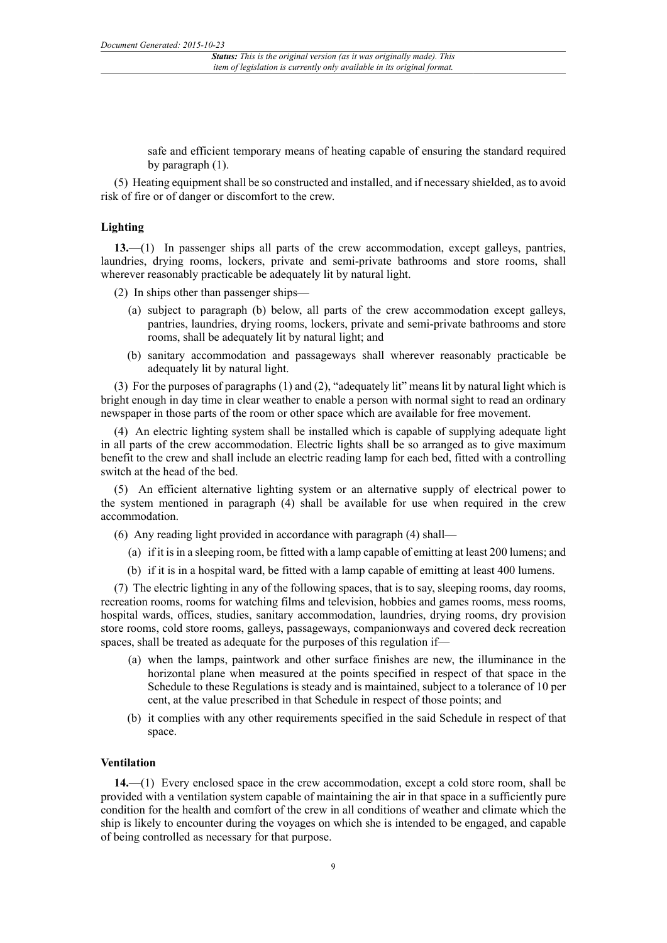safe and efficient temporary means of heating capable of ensuring the standard required by paragraph (1).

(5) Heating equipment shall be so constructed and installed, and if necessary shielded, as to avoid risk of fire or of danger or discomfort to the crew.

#### **Lighting**

**13.**—(1) In passenger ships all parts of the crew accommodation, except galleys, pantries, laundries, drying rooms, lockers, private and semi-private bathrooms and store rooms, shall wherever reasonably practicable be adequately lit by natural light.

(2) In ships other than passenger ships—

- (a) subject to paragraph (b) below, all parts of the crew accommodation except galleys, pantries, laundries, drying rooms, lockers, private and semi-private bathrooms and store rooms, shall be adequately lit by natural light; and
- (b) sanitary accommodation and passageways shall wherever reasonably practicable be adequately lit by natural light.

(3) For the purposes of paragraphs (1) and (2), "adequately lit" means lit by natural light which is bright enough in day time in clear weather to enable a person with normal sight to read an ordinary newspaper in those parts of the room or other space which are available for free movement.

(4) An electric lighting system shall be installed which is capable of supplying adequate light in all parts of the crew accommodation. Electric lights shall be so arranged as to give maximum benefit to the crew and shall include an electric reading lamp for each bed, fitted with a controlling switch at the head of the bed.

(5) An efficient alternative lighting system or an alternative supply of electrical power to the system mentioned in paragraph (4) shall be available for use when required in the crew accommodation.

(6) Any reading light provided in accordance with paragraph (4) shall—

- (a) if it is in a sleeping room, be fitted with a lamp capable of emitting at least 200 lumens; and
- (b) if it is in a hospital ward, be fitted with a lamp capable of emitting at least 400 lumens.

(7) The electric lighting in any of the following spaces, that is to say, sleeping rooms, day rooms, recreation rooms, rooms for watching films and television, hobbies and games rooms, mess rooms, hospital wards, offices, studies, sanitary accommodation, laundries, drying rooms, dry provision store rooms, cold store rooms, galleys, passageways, companionways and covered deck recreation spaces, shall be treated as adequate for the purposes of this regulation if—

- (a) when the lamps, paintwork and other surface finishes are new, the illuminance in the horizontal plane when measured at the points specified in respect of that space in the Schedule to these Regulations is steady and is maintained, subject to a tolerance of 10 per cent, at the value prescribed in that Schedule in respect of those points; and
- (b) it complies with any other requirements specified in the said Schedule in respect of that space.

#### **Ventilation**

**14.**—(1) Every enclosed space in the crew accommodation, except a cold store room, shall be provided with a ventilation system capable of maintaining the air in that space in a sufficiently pure condition for the health and comfort of the crew in all conditions of weather and climate which the ship is likely to encounter during the voyages on which she is intended to be engaged, and capable of being controlled as necessary for that purpose.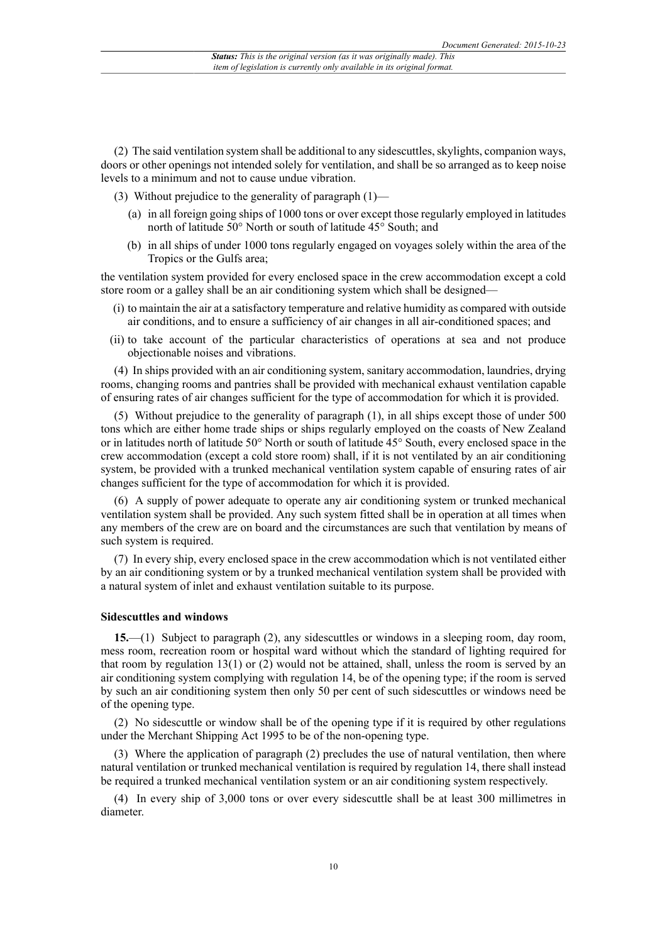(2) The said ventilation system shall be additional to any sidescuttles, skylights, companion ways, doors or other openings not intended solely for ventilation, and shall be so arranged as to keep noise levels to a minimum and not to cause undue vibration.

(3) Without prejudice to the generality of paragraph (1)—

- (a) in all foreign going ships of 1000 tons or over except those regularly employed in latitudes north of latitude 50° North or south of latitude 45° South; and
- (b) in all ships of under 1000 tons regularly engaged on voyages solely within the area of the Tropics or the Gulfs area;

the ventilation system provided for every enclosed space in the crew accommodation except a cold store room or a galley shall be an air conditioning system which shall be designed—

- (i) to maintain the air at a satisfactory temperature and relative humidity as compared with outside air conditions, and to ensure a sufficiency of air changes in all air-conditioned spaces; and
- (ii) to take account of the particular characteristics of operations at sea and not produce objectionable noises and vibrations.

(4) In ships provided with an air conditioning system, sanitary accommodation, laundries, drying rooms, changing rooms and pantries shall be provided with mechanical exhaust ventilation capable of ensuring rates of air changes sufficient for the type of accommodation for which it is provided.

(5) Without prejudice to the generality of paragraph (1), in all ships except those of under 500 tons which are either home trade ships or ships regularly employed on the coasts of New Zealand or in latitudes north of latitude 50° North or south of latitude 45° South, every enclosed space in the crew accommodation (except a cold store room) shall, if it is not ventilated by an air conditioning system, be provided with a trunked mechanical ventilation system capable of ensuring rates of air changes sufficient for the type of accommodation for which it is provided.

(6) A supply of power adequate to operate any air conditioning system or trunked mechanical ventilation system shall be provided. Any such system fitted shall be in operation at all times when any members of the crew are on board and the circumstances are such that ventilation by means of such system is required.

(7) In every ship, every enclosed space in the crew accommodation which is not ventilated either by an air conditioning system or by a trunked mechanical ventilation system shall be provided with a natural system of inlet and exhaust ventilation suitable to its purpose.

#### **Sidescuttles and windows**

**15.**—(1) Subject to paragraph (2), any sidescuttles or windows in a sleeping room, day room, mess room, recreation room or hospital ward without which the standard of lighting required for that room by regulation 13(1) or (2) would not be attained, shall, unless the room is served by an air conditioning system complying with regulation 14, be of the opening type; if the room is served by such an air conditioning system then only 50 per cent of such sidescuttles or windows need be of the opening type.

(2) No sidescuttle or window shall be of the opening type if it is required by other regulations under the Merchant Shipping Act 1995 to be of the non-opening type.

(3) Where the application of paragraph (2) precludes the use of natural ventilation, then where natural ventilation or trunked mechanical ventilation is required by regulation 14, there shall instead be required a trunked mechanical ventilation system or an air conditioning system respectively.

(4) In every ship of 3,000 tons or over every sidescuttle shall be at least 300 millimetres in diameter.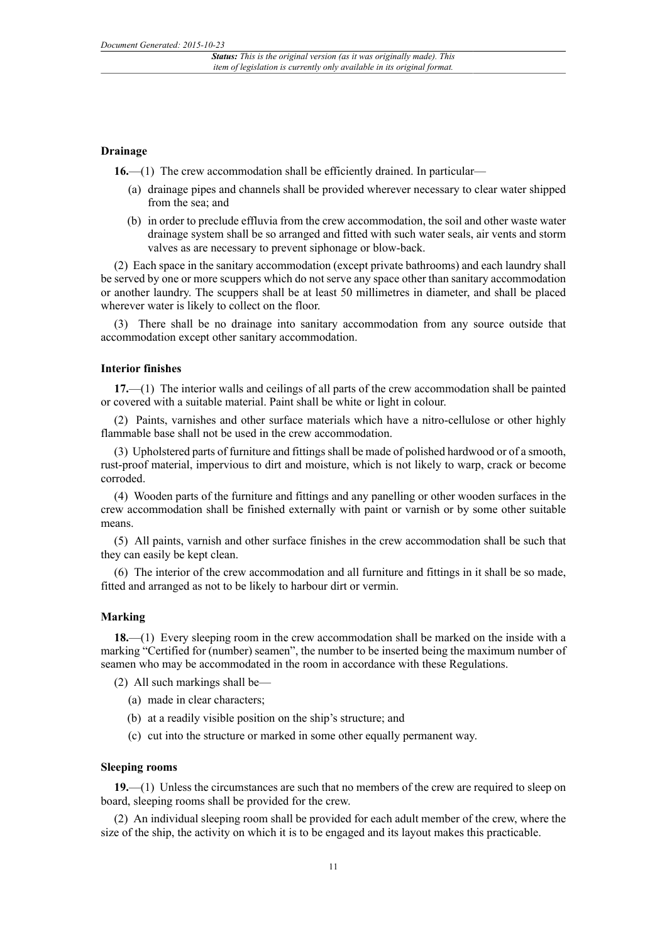#### **Drainage**

**16.—(1)** The crew accommodation shall be efficiently drained. In particular—

- (a) drainage pipes and channels shall be provided wherever necessary to clear water shipped from the sea; and
- (b) in order to preclude effluvia from the crew accommodation, the soil and other waste water drainage system shall be so arranged and fitted with such water seals, air vents and storm valves as are necessary to prevent siphonage or blow-back.

(2) Each space in the sanitary accommodation (except private bathrooms) and each laundry shall be served by one or more scuppers which do not serve any space other than sanitary accommodation or another laundry. The scuppers shall be at least 50 millimetres in diameter, and shall be placed wherever water is likely to collect on the floor.

(3) There shall be no drainage into sanitary accommodation from any source outside that accommodation except other sanitary accommodation.

#### **Interior finishes**

**17.**—(1) The interior walls and ceilings of all parts of the crew accommodation shall be painted or covered with a suitable material. Paint shall be white or light in colour.

(2) Paints, varnishes and other surface materials which have a nitro-cellulose or other highly flammable base shall not be used in the crew accommodation.

(3) Upholstered parts of furniture and fittings shall be made of polished hardwood or of a smooth, rust-proof material, impervious to dirt and moisture, which is not likely to warp, crack or become corroded.

(4) Wooden parts of the furniture and fittings and any panelling or other wooden surfaces in the crew accommodation shall be finished externally with paint or varnish or by some other suitable means.

(5) All paints, varnish and other surface finishes in the crew accommodation shall be such that they can easily be kept clean.

(6) The interior of the crew accommodation and all furniture and fittings in it shall be so made, fitted and arranged as not to be likely to harbour dirt or vermin.

#### **Marking**

**18.**—(1) Every sleeping room in the crew accommodation shall be marked on the inside with a marking "Certified for (number) seamen", the number to be inserted being the maximum number of seamen who may be accommodated in the room in accordance with these Regulations.

(2) All such markings shall be—

- (a) made in clear characters;
- (b) at a readily visible position on the ship's structure; and
- (c) cut into the structure or marked in some other equally permanent way.

#### **Sleeping rooms**

**19.**—(1) Unless the circumstances are such that no members of the crew are required to sleep on board, sleeping rooms shall be provided for the crew.

(2) An individual sleeping room shall be provided for each adult member of the crew, where the size of the ship, the activity on which it is to be engaged and its layout makes this practicable.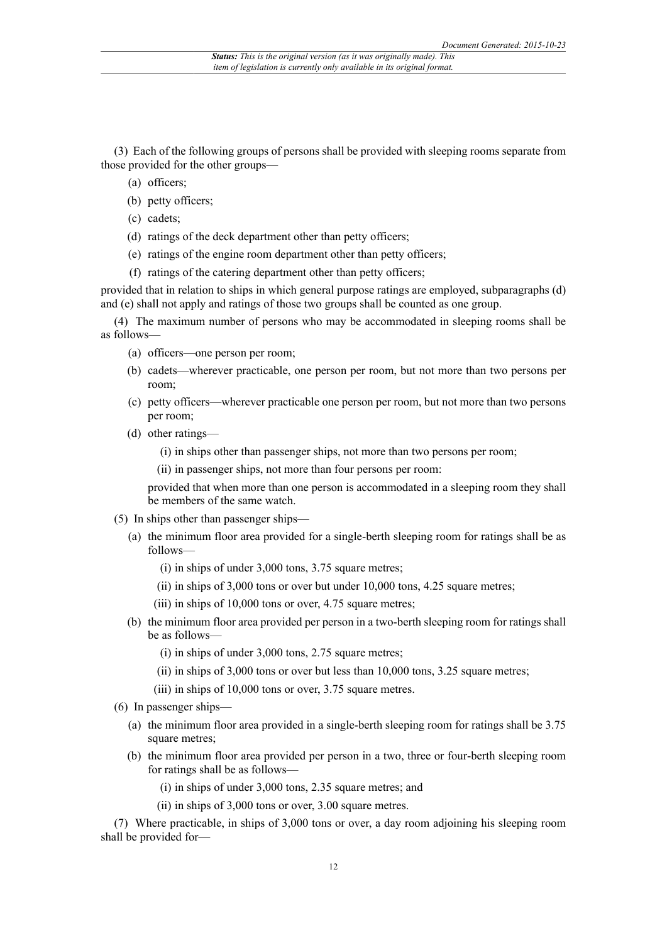(3) Each of the following groups of persons shall be provided with sleeping rooms separate from those provided for the other groups—

- (a) officers;
- (b) petty officers;
- (c) cadets;
- (d) ratings of the deck department other than petty officers;
- (e) ratings of the engine room department other than petty officers;
- (f) ratings of the catering department other than petty officers;

provided that in relation to ships in which general purpose ratings are employed, subparagraphs (d) and (e) shall not apply and ratings of those two groups shall be counted as one group.

(4) The maximum number of persons who may be accommodated in sleeping rooms shall be as follows—

- (a) officers—one person per room;
- (b) cadets—wherever practicable, one person per room, but not more than two persons per room;
- (c) petty officers—wherever practicable one person per room, but not more than two persons per room;
- (d) other ratings—
	- (i) in ships other than passenger ships, not more than two persons per room;
	- (ii) in passenger ships, not more than four persons per room:

provided that when more than one person is accommodated in a sleeping room they shall be members of the same watch.

- (5) In ships other than passenger ships—
	- (a) the minimum floor area provided for a single-berth sleeping room for ratings shall be as follows—
		- (i) in ships of under 3,000 tons, 3.75 square metres;
		- $(iii)$  in ships of 3,000 tons or over but under 10,000 tons, 4.25 square metres;
		- (iii) in ships of 10,000 tons or over, 4.75 square metres;
	- (b) the minimum floor area provided per person in a two-berth sleeping room for ratings shall be as follows—
		- (i) in ships of under 3,000 tons, 2.75 square metres;
		- (ii) in ships of  $3,000$  tons or over but less than  $10,000$  tons,  $3.25$  square metres;
		- (iii) in ships of 10,000 tons or over, 3.75 square metres.
- (6) In passenger ships—
	- (a) the minimum floor area provided in a single-berth sleeping room for ratings shall be 3.75 square metres;
	- (b) the minimum floor area provided per person in a two, three or four-berth sleeping room for ratings shall be as follows—
		- (i) in ships of under 3,000 tons, 2.35 square metres; and
		- (ii) in ships of 3,000 tons or over, 3.00 square metres.

(7) Where practicable, in ships of 3,000 tons or over, a day room adjoining his sleeping room shall be provided for—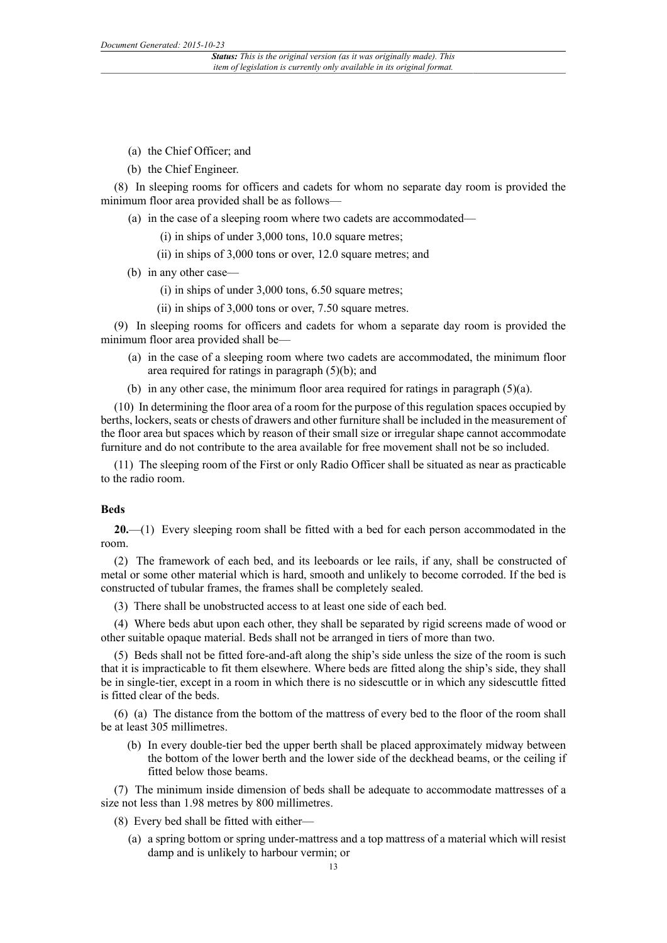- (a) the Chief Officer; and
- (b) the Chief Engineer.

(8) In sleeping rooms for officers and cadets for whom no separate day room is provided the minimum floor area provided shall be as follows—

- (a) in the case of a sleeping room where two cadets are accommodated—
	- (i) in ships of under 3,000 tons, 10.0 square metres;
	- $(iii)$  in ships of 3,000 tons or over, 12.0 square metres; and
- (b) in any other case—
	- (i) in ships of under 3,000 tons, 6.50 square metres;
	- (ii) in ships of 3,000 tons or over, 7.50 square metres.

(9) In sleeping rooms for officers and cadets for whom a separate day room is provided the minimum floor area provided shall be—

- (a) in the case of a sleeping room where two cadets are accommodated, the minimum floor area required for ratings in paragraph (5)(b); and
- (b) in any other case, the minimum floor area required for ratings in paragraph (5)(a).

(10) In determining the floor area of a room for the purpose of this regulation spaces occupied by berths, lockers, seats or chests of drawers and other furniture shall be included in the measurement of the floor area but spaces which by reason of their small size or irregular shape cannot accommodate furniture and do not contribute to the area available for free movement shall not be so included.

(11) The sleeping room of the First or only Radio Officer shall be situated as near as practicable to the radio room.

#### **Beds**

**20.**—(1) Every sleeping room shall be fitted with a bed for each person accommodated in the room.

(2) The framework of each bed, and its leeboards or lee rails, if any, shall be constructed of metal or some other material which is hard, smooth and unlikely to become corroded. If the bed is constructed of tubular frames, the frames shall be completely sealed.

(3) There shall be unobstructed access to at least one side of each bed.

(4) Where beds abut upon each other, they shall be separated by rigid screens made of wood or other suitable opaque material. Beds shall not be arranged in tiers of more than two.

(5) Beds shall not be fitted fore-and-aft along the ship's side unless the size of the room is such that it is impracticable to fit them elsewhere. Where beds are fitted along the ship's side, they shall be in single-tier, except in a room in which there is no sidescuttle or in which any sidescuttle fitted is fitted clear of the beds.

(6) (a) The distance from the bottom of the mattress of every bed to the floor of the room shall be at least 305 millimetres.

(b) In every double-tier bed the upper berth shall be placed approximately midway between the bottom of the lower berth and the lower side of the deckhead beams, or the ceiling if fitted below those beams.

(7) The minimum inside dimension of beds shall be adequate to accommodate mattresses of a size not less than 1.98 metres by 800 millimetres.

- (8) Every bed shall be fitted with either—
	- (a) a spring bottom or spring under-mattress and a top mattress of a material which will resist damp and is unlikely to harbour vermin; or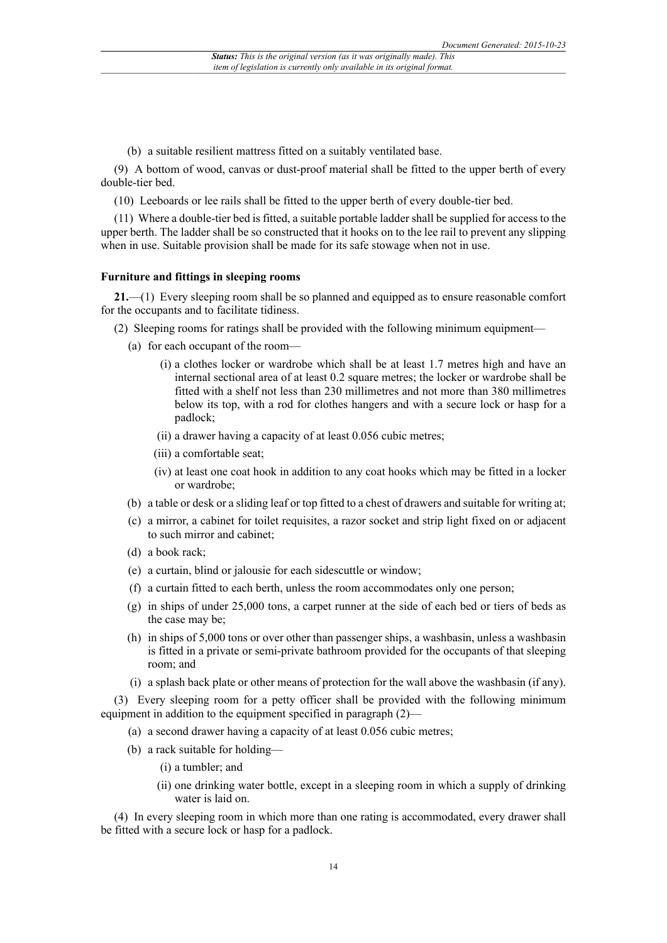(b) a suitable resilient mattress fitted on a suitably ventilated base.

(9) A bottom of wood, canvas or dust-proof material shall be fitted to the upper berth of every double-tier bed.

(10) Leeboards or lee rails shall be fitted to the upper berth of every double-tier bed.

(11) Where a double-tier bed is fitted, a suitable portable ladder shall be supplied for access to the upper berth. The ladder shall be so constructed that it hooks on to the lee rail to prevent any slipping when in use. Suitable provision shall be made for its safe stowage when not in use.

#### **Furniture and fittings in sleeping rooms**

**21.**—(1) Every sleeping room shall be so planned and equipped as to ensure reasonable comfort for the occupants and to facilitate tidiness.

- (2) Sleeping rooms for ratings shall be provided with the following minimum equipment—
	- (a) for each occupant of the room—
		- (i) a clothes locker or wardrobe which shall be at least 1.7 metres high and have an internal sectional area of at least 0.2 square metres; the locker or wardrobe shall be fitted with a shelf not less than 230 millimetres and not more than 380 millimetres below its top, with a rod for clothes hangers and with a secure lock or hasp for a padlock;
		- (ii) a drawer having a capacity of at least 0.056 cubic metres;
		- (iii) a comfortable seat;
		- (iv) at least one coat hook in addition to any coat hooks which may be fitted in a locker or wardrobe;
	- (b) a table or desk or a sliding leaf or top fitted to a chest of drawers and suitable for writing at;
	- (c) a mirror, a cabinet for toilet requisites, a razor socket and strip light fixed on or adjacent to such mirror and cabinet;
	- (d) a book rack;
	- (e) a curtain, blind or jalousie for each sidescuttle or window;
	- (f) a curtain fitted to each berth, unless the room accommodates only one person;
	- (g) in ships of under 25,000 tons, a carpet runner at the side of each bed or tiers of beds as the case may be;
	- (h) in ships of 5,000 tons or over other than passenger ships, a washbasin, unless a washbasin is fitted in a private or semi-private bathroom provided for the occupants of that sleeping room; and
	- (i) a splash back plate or other means of protection for the wall above the washbasin (if any).

(3) Every sleeping room for a petty officer shall be provided with the following minimum equipment in addition to the equipment specified in paragraph (2)—

- (a) a second drawer having a capacity of at least 0.056 cubic metres;
- (b) a rack suitable for holding—
	- (i) a tumbler; and
	- (ii) one drinking water bottle, except in a sleeping room in which a supply of drinking water is laid on.

(4) In every sleeping room in which more than one rating is accommodated, every drawer shall be fitted with a secure lock or hasp for a padlock.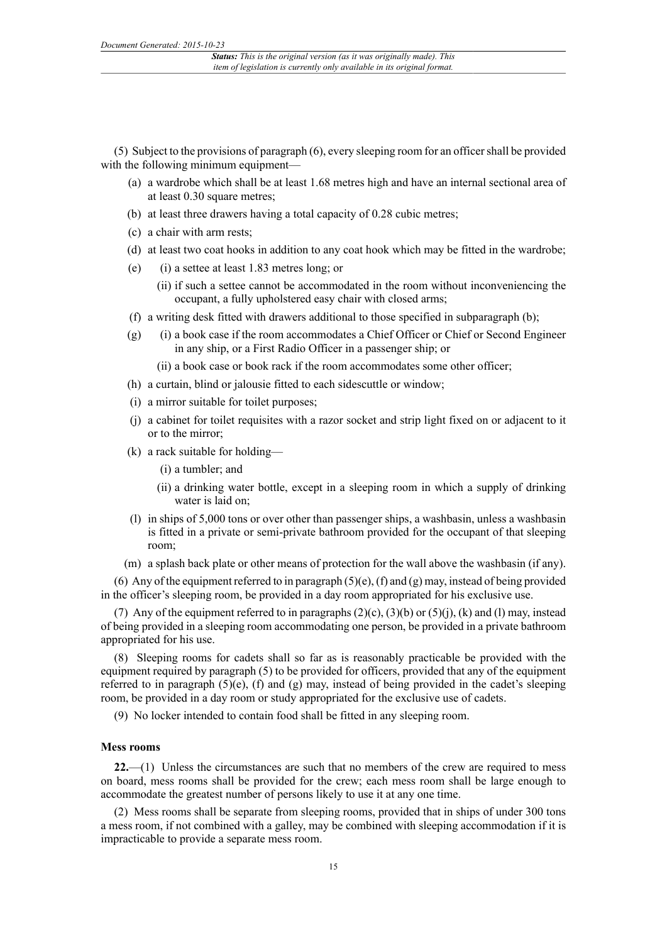(5) Subject to the provisions of paragraph (6), every sleeping room for an officer shall be provided with the following minimum equipment—

- (a) a wardrobe which shall be at least 1.68 metres high and have an internal sectional area of at least 0.30 square metres;
- (b) at least three drawers having a total capacity of 0.28 cubic metres;
- (c) a chair with arm rests;
- (d) at least two coat hooks in addition to any coat hook which may be fitted in the wardrobe;
- (e) (i) a settee at least 1.83 metres long; or
	- (ii) if such a settee cannot be accommodated in the room without inconveniencing the occupant, a fully upholstered easy chair with closed arms;
- (f) a writing desk fitted with drawers additional to those specified in subparagraph (b);
- (g) (i) a book case if the room accommodates a Chief Officer or Chief or Second Engineer in any ship, or a First Radio Officer in a passenger ship; or
	- (ii) a book case or book rack if the room accommodates some other officer;
- (h) a curtain, blind or jalousie fitted to each sidescuttle or window;
- (i) a mirror suitable for toilet purposes;
- (j) a cabinet for toilet requisites with a razor socket and strip light fixed on or adjacent to it or to the mirror;
- (k) a rack suitable for holding—
	- (i) a tumbler; and
	- (ii) a drinking water bottle, except in a sleeping room in which a supply of drinking water is laid on;
- (l) in ships of 5,000 tons or over other than passenger ships, a washbasin, unless a washbasin is fitted in a private or semi-private bathroom provided for the occupant of that sleeping room;
- (m) a splash back plate or other means of protection for the wall above the washbasin (if any).

(6) Any of the equipment referred to in paragraph  $(5)(e)$ ,  $(f)$  and  $(g)$  may, instead of being provided in the officer's sleeping room, be provided in a day room appropriated for his exclusive use.

(7) Any of the equipment referred to in paragraphs  $(2)(c)$ ,  $(3)(b)$  or  $(5)(i)$ ,  $(k)$  and  $(l)$  may, instead of being provided in a sleeping room accommodating one person, be provided in a private bathroom appropriated for his use.

(8) Sleeping rooms for cadets shall so far as is reasonably practicable be provided with the equipment required by paragraph (5) to be provided for officers, provided that any of the equipment referred to in paragraph  $(5)(e)$ , (f) and (g) may, instead of being provided in the cadet's sleeping room, be provided in a day room or study appropriated for the exclusive use of cadets.

(9) No locker intended to contain food shall be fitted in any sleeping room.

#### **Mess rooms**

**22.**—(1) Unless the circumstances are such that no members of the crew are required to mess on board, mess rooms shall be provided for the crew; each mess room shall be large enough to accommodate the greatest number of persons likely to use it at any one time.

(2) Mess rooms shall be separate from sleeping rooms, provided that in ships of under 300 tons a mess room, if not combined with a galley, may be combined with sleeping accommodation if it is impracticable to provide a separate mess room.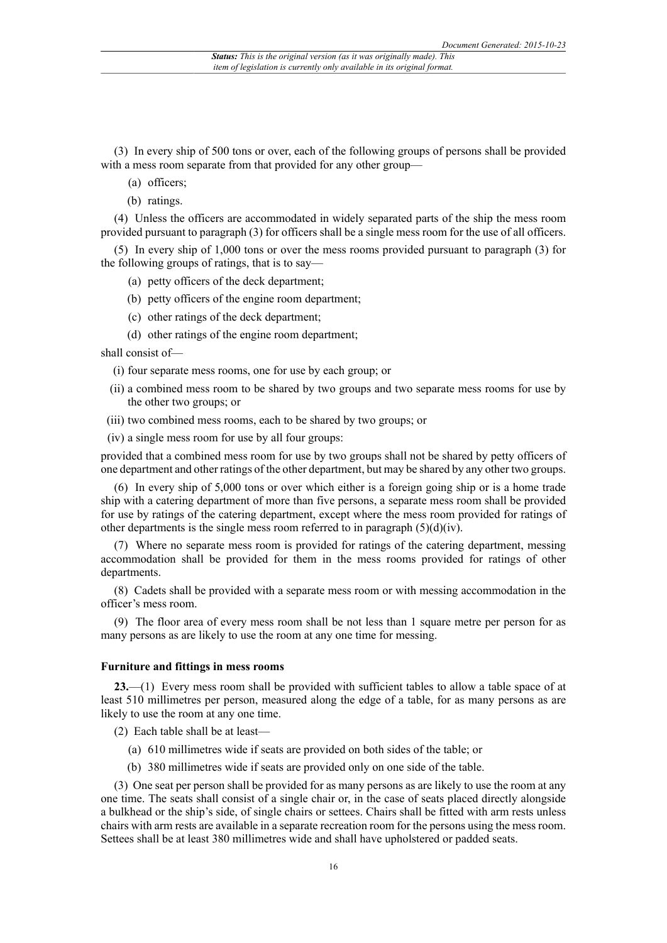(3) In every ship of 500 tons or over, each of the following groups of persons shall be provided with a mess room separate from that provided for any other group—

- (a) officers;
- (b) ratings.

(4) Unless the officers are accommodated in widely separated parts of the ship the mess room provided pursuant to paragraph (3) for officers shall be a single mess room for the use of all officers.

(5) In every ship of 1,000 tons or over the mess rooms provided pursuant to paragraph (3) for the following groups of ratings, that is to say—

- (a) petty officers of the deck department;
- (b) petty officers of the engine room department;
- (c) other ratings of the deck department;
- (d) other ratings of the engine room department;

shall consist of—

- (i) four separate mess rooms, one for use by each group; or
- (ii) a combined mess room to be shared by two groups and two separate mess rooms for use by the other two groups; or
- (iii) two combined mess rooms, each to be shared by two groups; or
- (iv) a single mess room for use by all four groups:

provided that a combined mess room for use by two groups shall not be shared by petty officers of one department and other ratings of the other department, but may be shared by any other two groups.

(6) In every ship of 5,000 tons or over which either is a foreign going ship or is a home trade ship with a catering department of more than five persons, a separate mess room shall be provided for use by ratings of the catering department, except where the mess room provided for ratings of other departments is the single mess room referred to in paragraph  $(5)(d)(iv)$ .

(7) Where no separate mess room is provided for ratings of the catering department, messing accommodation shall be provided for them in the mess rooms provided for ratings of other departments.

(8) Cadets shall be provided with a separate mess room or with messing accommodation in the officer's mess room.

(9) The floor area of every mess room shall be not less than 1 square metre per person for as many persons as are likely to use the room at any one time for messing.

#### **Furniture and fittings in mess rooms**

**23.**—(1) Every mess room shall be provided with sufficient tables to allow a table space of at least 510 millimetres per person, measured along the edge of a table, for as many persons as are likely to use the room at any one time.

(2) Each table shall be at least—

- (a) 610 millimetres wide if seats are provided on both sides of the table; or
- (b) 380 millimetres wide if seats are provided only on one side of the table.

(3) One seat per person shall be provided for as many persons as are likely to use the room at any one time. The seats shall consist of a single chair or, in the case of seats placed directly alongside a bulkhead or the ship's side, of single chairs or settees. Chairs shall be fitted with arm rests unless chairs with arm rests are available in a separate recreation room for the persons using the mess room. Settees shall be at least 380 millimetres wide and shall have upholstered or padded seats.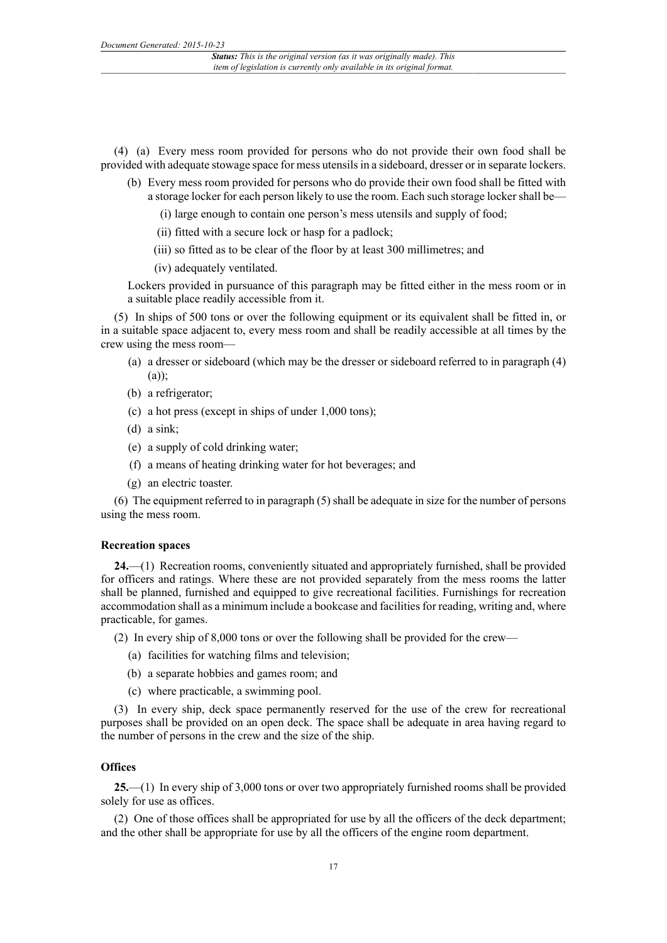(4) (a) Every mess room provided for persons who do not provide their own food shall be provided with adequate stowage space for mess utensils in a sideboard, dresser or in separate lockers.

- (b) Every mess room provided for persons who do provide their own food shall be fitted with a storage locker for each person likely to use the room. Each such storage locker shall be—
	- (i) large enough to contain one person's mess utensils and supply of food;
	- (ii) fitted with a secure lock or hasp for a padlock;
	- (iii) so fitted as to be clear of the floor by at least 300 millimetres; and
	- (iv) adequately ventilated.

Lockers provided in pursuance of this paragraph may be fitted either in the mess room or in a suitable place readily accessible from it.

(5) In ships of 500 tons or over the following equipment or its equivalent shall be fitted in, or in a suitable space adjacent to, every mess room and shall be readily accessible at all times by the crew using the mess room—

- (a) a dresser or sideboard (which may be the dresser or sideboard referred to in paragraph (4)  $(a)$ );
- (b) a refrigerator;
- (c) a hot press (except in ships of under 1,000 tons);
- (d) a sink;
- (e) a supply of cold drinking water;
- (f) a means of heating drinking water for hot beverages; and
- (g) an electric toaster.

(6) The equipment referred to in paragraph (5) shall be adequate in size for the number of persons using the mess room.

#### **Recreation spaces**

**24.**—(1) Recreation rooms, conveniently situated and appropriately furnished, shall be provided for officers and ratings. Where these are not provided separately from the mess rooms the latter shall be planned, furnished and equipped to give recreational facilities. Furnishings for recreation accommodation shall as a minimum include a bookcase and facilities for reading, writing and, where practicable, for games.

(2) In every ship of 8,000 tons or over the following shall be provided for the crew—

- (a) facilities for watching films and television;
- (b) a separate hobbies and games room; and
- (c) where practicable, a swimming pool.

(3) In every ship, deck space permanently reserved for the use of the crew for recreational purposes shall be provided on an open deck. The space shall be adequate in area having regard to the number of persons in the crew and the size of the ship.

#### **Offices**

**25.**—(1) In every ship of 3,000 tons or over two appropriately furnished rooms shall be provided solely for use as offices.

(2) One of those offices shall be appropriated for use by all the officers of the deck department; and the other shall be appropriate for use by all the officers of the engine room department.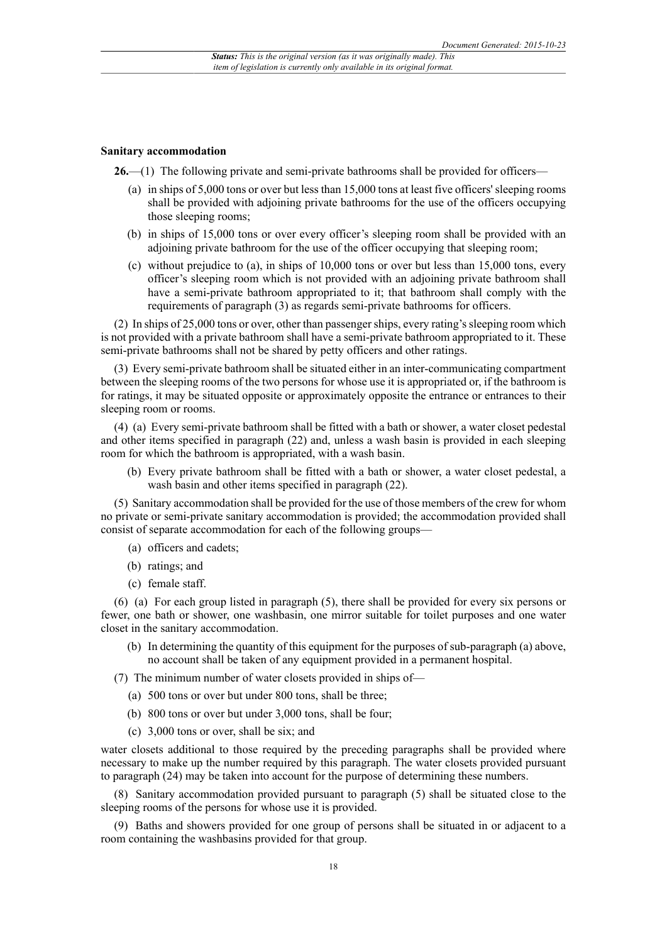#### **Sanitary accommodation**

**26.**—(1) The following private and semi-private bathrooms shall be provided for officers—

- (a) in ships of 5,000 tons or over but less than 15,000 tons at least five officers' sleeping rooms shall be provided with adjoining private bathrooms for the use of the officers occupying those sleeping rooms;
- (b) in ships of 15,000 tons or over every officer's sleeping room shall be provided with an adjoining private bathroom for the use of the officer occupying that sleeping room;
- (c) without prejudice to (a), in ships of 10,000 tons or over but less than 15,000 tons, every officer's sleeping room which is not provided with an adjoining private bathroom shall have a semi-private bathroom appropriated to it; that bathroom shall comply with the requirements of paragraph (3) as regards semi-private bathrooms for officers.

(2) In ships of 25,000 tons or over, other than passenger ships, every rating's sleeping room which is not provided with a private bathroom shall have a semi-private bathroom appropriated to it. These semi-private bathrooms shall not be shared by petty officers and other ratings.

(3) Every semi-private bathroom shall be situated either in an inter-communicating compartment between the sleeping rooms of the two persons for whose use it is appropriated or, if the bathroom is for ratings, it may be situated opposite or approximately opposite the entrance or entrances to their sleeping room or rooms.

(4) (a) Every semi-private bathroom shall be fitted with a bath or shower, a water closet pedestal and other items specified in paragraph (22) and, unless a wash basin is provided in each sleeping room for which the bathroom is appropriated, with a wash basin.

(b) Every private bathroom shall be fitted with a bath or shower, a water closet pedestal, a wash basin and other items specified in paragraph (22).

(5) Sanitary accommodation shall be provided for the use of those members of the crew for whom no private or semi-private sanitary accommodation is provided; the accommodation provided shall consist of separate accommodation for each of the following groups—

- (a) officers and cadets;
- (b) ratings; and
- (c) female staff.

(6) (a) For each group listed in paragraph (5), there shall be provided for every six persons or fewer, one bath or shower, one washbasin, one mirror suitable for toilet purposes and one water closet in the sanitary accommodation.

(b) In determining the quantity of this equipment for the purposes of sub-paragraph (a) above, no account shall be taken of any equipment provided in a permanent hospital.

(7) The minimum number of water closets provided in ships of—

- (a) 500 tons or over but under 800 tons, shall be three;
- (b) 800 tons or over but under 3,000 tons, shall be four;
- (c) 3,000 tons or over, shall be six; and

water closets additional to those required by the preceding paragraphs shall be provided where necessary to make up the number required by this paragraph. The water closets provided pursuant to paragraph (24) may be taken into account for the purpose of determining these numbers.

(8) Sanitary accommodation provided pursuant to paragraph (5) shall be situated close to the sleeping rooms of the persons for whose use it is provided.

(9) Baths and showers provided for one group of persons shall be situated in or adjacent to a room containing the washbasins provided for that group.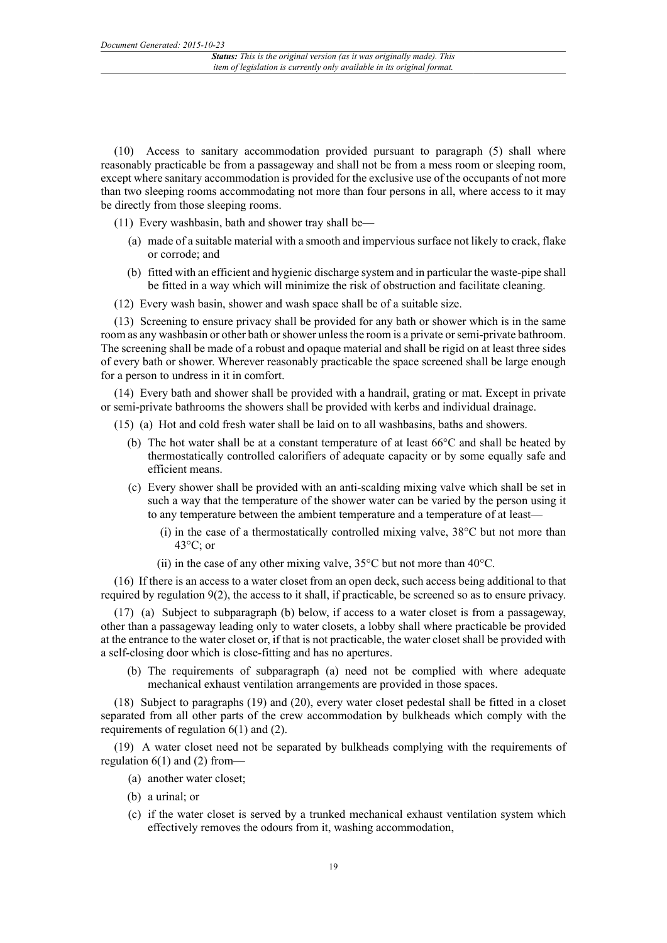(10) Access to sanitary accommodation provided pursuant to paragraph (5) shall where reasonably practicable be from a passageway and shall not be from a mess room or sleeping room, except where sanitary accommodation is provided for the exclusive use of the occupants of not more than two sleeping rooms accommodating not more than four persons in all, where access to it may be directly from those sleeping rooms.

(11) Every washbasin, bath and shower tray shall be—

- (a) made of a suitable material with a smooth and impervious surface not likely to crack, flake or corrode; and
- (b) fitted with an efficient and hygienic discharge system and in particular the waste-pipe shall be fitted in a way which will minimize the risk of obstruction and facilitate cleaning.
- (12) Every wash basin, shower and wash space shall be of a suitable size.

(13) Screening to ensure privacy shall be provided for any bath or shower which is in the same room as any washbasin or other bath or shower unless the room is a private or semi-private bathroom. The screening shall be made of a robust and opaque material and shall be rigid on at least three sides of every bath or shower. Wherever reasonably practicable the space screened shall be large enough for a person to undress in it in comfort.

(14) Every bath and shower shall be provided with a handrail, grating or mat. Except in private or semi-private bathrooms the showers shall be provided with kerbs and individual drainage.

- (15) (a) Hot and cold fresh water shall be laid on to all washbasins, baths and showers.
	- (b) The hot water shall be at a constant temperature of at least  $66^{\circ}$ C and shall be heated by thermostatically controlled calorifiers of adequate capacity or by some equally safe and efficient means.
	- (c) Every shower shall be provided with an anti-scalding mixing valve which shall be set in such a way that the temperature of the shower water can be varied by the person using it to any temperature between the ambient temperature and a temperature of at least—
		- (i) in the case of a thermostatically controlled mixing valve,  $38^{\circ}$ C but not more than  $43^{\circ}$ C; or
		- (ii) in the case of any other mixing valve,  $35^{\circ}$ C but not more than  $40^{\circ}$ C.

(16) If there is an access to a water closet from an open deck, such access being additional to that required by regulation 9(2), the access to it shall, if practicable, be screened so as to ensure privacy.

(17) (a) Subject to subparagraph (b) below, if access to a water closet is from a passageway, other than a passageway leading only to water closets, a lobby shall where practicable be provided at the entrance to the water closet or, if that is not practicable, the water closet shall be provided with a self-closing door which is close-fitting and has no apertures.

(b) The requirements of subparagraph (a) need not be complied with where adequate mechanical exhaust ventilation arrangements are provided in those spaces.

(18) Subject to paragraphs (19) and (20), every water closet pedestal shall be fitted in a closet separated from all other parts of the crew accommodation by bulkheads which comply with the requirements of regulation 6(1) and (2).

(19) A water closet need not be separated by bulkheads complying with the requirements of regulation  $6(1)$  and (2) from—

- (a) another water closet;
- (b) a urinal; or
- (c) if the water closet is served by a trunked mechanical exhaust ventilation system which effectively removes the odours from it, washing accommodation,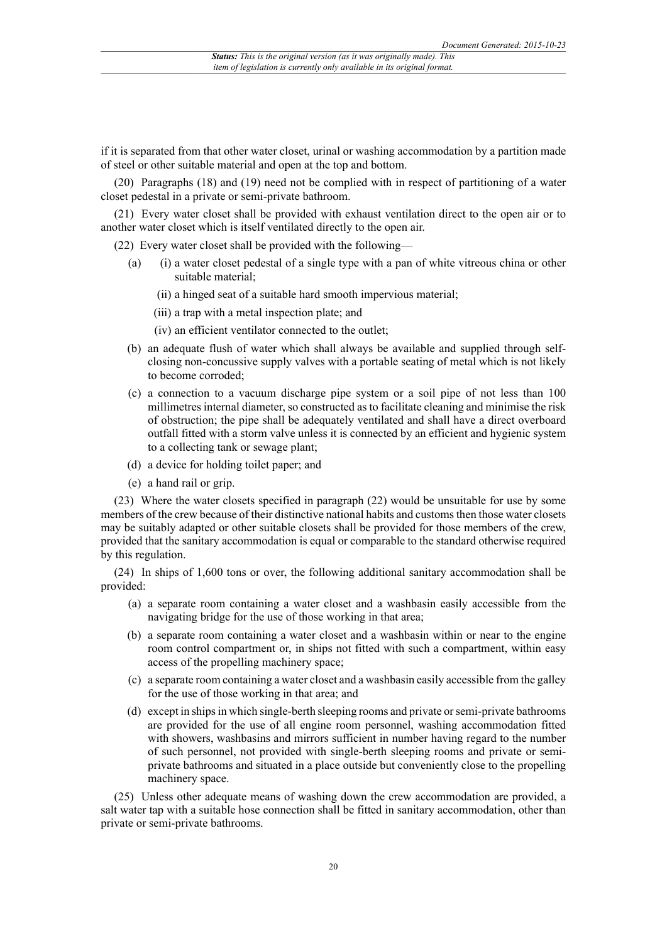if it is separated from that other water closet, urinal or washing accommodation by a partition made of steel or other suitable material and open at the top and bottom.

(20) Paragraphs (18) and (19) need not be complied with in respect of partitioning of a water closet pedestal in a private or semi-private bathroom.

(21) Every water closet shall be provided with exhaust ventilation direct to the open air or to another water closet which is itself ventilated directly to the open air.

(22) Every water closet shall be provided with the following—

- (a) (i) a water closet pedestal of a single type with a pan of white vitreous china or other suitable material;
	- (ii) a hinged seat of a suitable hard smooth impervious material;
	- (iii) a trap with a metal inspection plate; and
	- (iv) an efficient ventilator connected to the outlet;
- (b) an adequate flush of water which shall always be available and supplied through selfclosing non-concussive supply valves with a portable seating of metal which is not likely to become corroded;
- (c) a connection to a vacuum discharge pipe system or a soil pipe of not less than 100 millimetres internal diameter, so constructed as to facilitate cleaning and minimise the risk of obstruction; the pipe shall be adequately ventilated and shall have a direct overboard outfall fitted with a storm valve unless it is connected by an efficient and hygienic system to a collecting tank or sewage plant;
- (d) a device for holding toilet paper; and
- (e) a hand rail or grip.

(23) Where the water closets specified in paragraph (22) would be unsuitable for use by some members of the crew because of their distinctive national habits and customs then those water closets may be suitably adapted or other suitable closets shall be provided for those members of the crew, provided that the sanitary accommodation is equal or comparable to the standard otherwise required by this regulation.

(24) In ships of 1,600 tons or over, the following additional sanitary accommodation shall be provided:

- (a) a separate room containing a water closet and a washbasin easily accessible from the navigating bridge for the use of those working in that area;
- (b) a separate room containing a water closet and a washbasin within or near to the engine room control compartment or, in ships not fitted with such a compartment, within easy access of the propelling machinery space;
- (c) a separate room containing a water closet and a washbasin easily accessible from the galley for the use of those working in that area; and
- (d) except in ships in which single-berth sleeping rooms and private or semi-private bathrooms are provided for the use of all engine room personnel, washing accommodation fitted with showers, washbasins and mirrors sufficient in number having regard to the number of such personnel, not provided with single-berth sleeping rooms and private or semiprivate bathrooms and situated in a place outside but conveniently close to the propelling machinery space.

(25) Unless other adequate means of washing down the crew accommodation are provided, a salt water tap with a suitable hose connection shall be fitted in sanitary accommodation, other than private or semi-private bathrooms.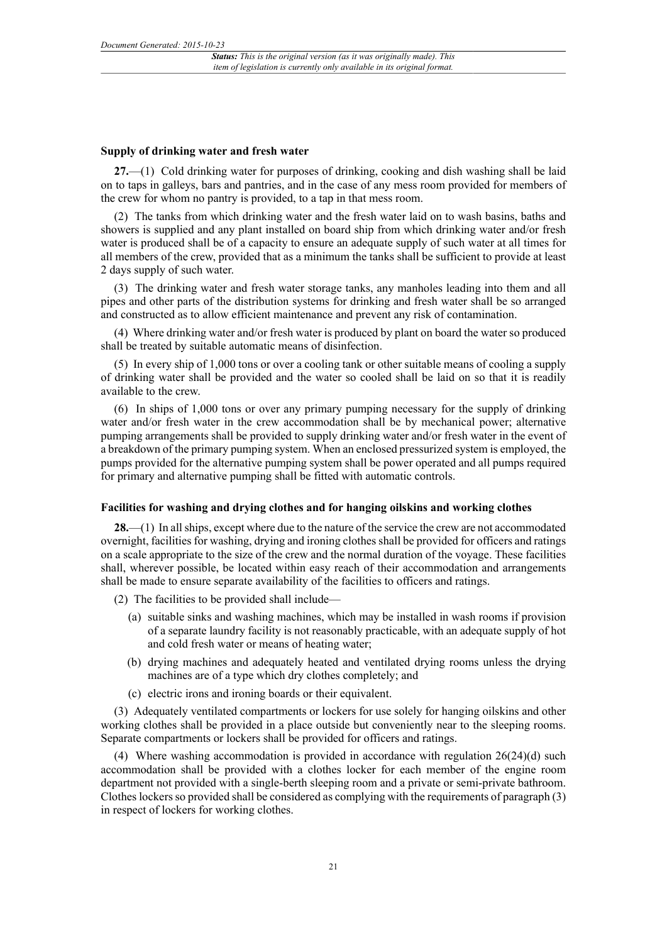#### **Supply of drinking water and fresh water**

**27.**—(1) Cold drinking water for purposes of drinking, cooking and dish washing shall be laid on to taps in galleys, bars and pantries, and in the case of any mess room provided for members of the crew for whom no pantry is provided, to a tap in that mess room.

(2) The tanks from which drinking water and the fresh water laid on to wash basins, baths and showers is supplied and any plant installed on board ship from which drinking water and/or fresh water is produced shall be of a capacity to ensure an adequate supply of such water at all times for all members of the crew, provided that as a minimum the tanks shall be sufficient to provide at least 2 days supply of such water.

(3) The drinking water and fresh water storage tanks, any manholes leading into them and all pipes and other parts of the distribution systems for drinking and fresh water shall be so arranged and constructed as to allow efficient maintenance and prevent any risk of contamination.

(4) Where drinking water and/or fresh water is produced by plant on board the water so produced shall be treated by suitable automatic means of disinfection.

(5) In every ship of 1,000 tons or over a cooling tank or other suitable means of cooling a supply of drinking water shall be provided and the water so cooled shall be laid on so that it is readily available to the crew.

(6) In ships of 1,000 tons or over any primary pumping necessary for the supply of drinking water and/or fresh water in the crew accommodation shall be by mechanical power; alternative pumping arrangements shall be provided to supply drinking water and/or fresh water in the event of a breakdown of the primary pumping system. When an enclosed pressurized system is employed, the pumps provided for the alternative pumping system shall be power operated and all pumps required for primary and alternative pumping shall be fitted with automatic controls.

#### **Facilities for washing and drying clothes and for hanging oilskins and working clothes**

**28.**—(1) In all ships, except where due to the nature of the service the crew are not accommodated overnight, facilities for washing, drying and ironing clothes shall be provided for officers and ratings on a scale appropriate to the size of the crew and the normal duration of the voyage. These facilities shall, wherever possible, be located within easy reach of their accommodation and arrangements shall be made to ensure separate availability of the facilities to officers and ratings.

- (2) The facilities to be provided shall include—
	- (a) suitable sinks and washing machines, which may be installed in wash rooms if provision of a separate laundry facility is not reasonably practicable, with an adequate supply of hot and cold fresh water or means of heating water;
	- (b) drying machines and adequately heated and ventilated drying rooms unless the drying machines are of a type which dry clothes completely; and
	- (c) electric irons and ironing boards or their equivalent.

(3) Adequately ventilated compartments or lockers for use solely for hanging oilskins and other working clothes shall be provided in a place outside but conveniently near to the sleeping rooms. Separate compartments or lockers shall be provided for officers and ratings.

(4) Where washing accommodation is provided in accordance with regulation  $26(24)(d)$  such accommodation shall be provided with a clothes locker for each member of the engine room department not provided with a single-berth sleeping room and a private or semi-private bathroom. Clothes lockers so provided shall be considered as complying with the requirements of paragraph (3) in respect of lockers for working clothes.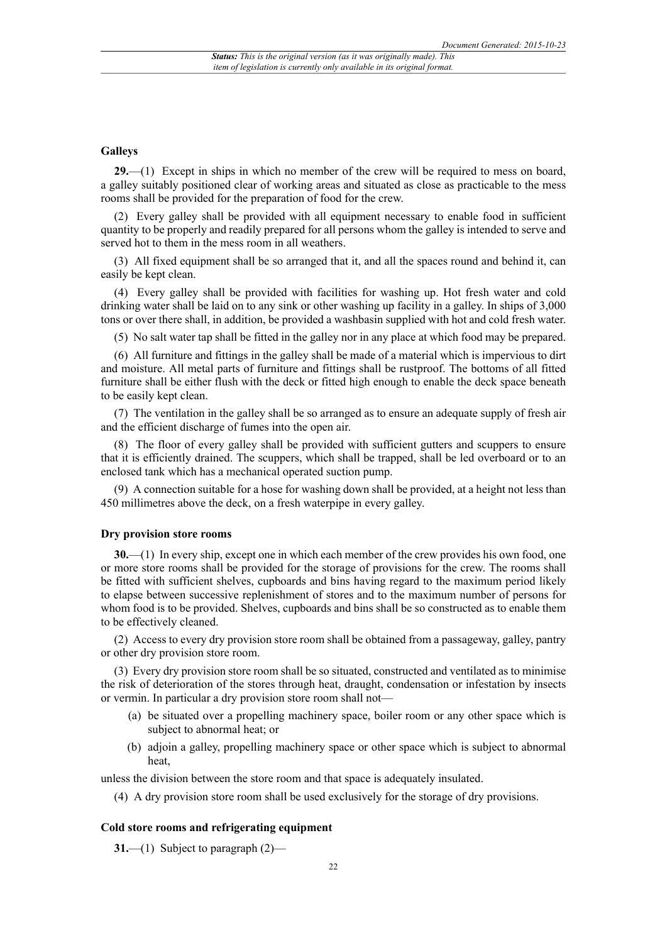#### **Galleys**

**29.**—(1) Except in ships in which no member of the crew will be required to mess on board, a galley suitably positioned clear of working areas and situated as close as practicable to the mess rooms shall be provided for the preparation of food for the crew.

(2) Every galley shall be provided with all equipment necessary to enable food in sufficient quantity to be properly and readily prepared for all persons whom the galley is intended to serve and served hot to them in the mess room in all weathers.

(3) All fixed equipment shall be so arranged that it, and all the spaces round and behind it, can easily be kept clean.

(4) Every galley shall be provided with facilities for washing up. Hot fresh water and cold drinking water shall be laid on to any sink or other washing up facility in a galley. In ships of 3,000 tons or over there shall, in addition, be provided a washbasin supplied with hot and cold fresh water.

(5) No salt water tap shall be fitted in the galley nor in any place at which food may be prepared.

(6) All furniture and fittings in the galley shall be made of a material which is impervious to dirt and moisture. All metal parts of furniture and fittings shall be rustproof. The bottoms of all fitted furniture shall be either flush with the deck or fitted high enough to enable the deck space beneath to be easily kept clean.

(7) The ventilation in the galley shall be so arranged as to ensure an adequate supply of fresh air and the efficient discharge of fumes into the open air.

(8) The floor of every galley shall be provided with sufficient gutters and scuppers to ensure that it is efficiently drained. The scuppers, which shall be trapped, shall be led overboard or to an enclosed tank which has a mechanical operated suction pump.

(9) A connection suitable for a hose for washing down shall be provided, at a height not less than 450 millimetres above the deck, on a fresh waterpipe in every galley.

#### **Dry provision store rooms**

**30.**—(1) In every ship, except one in which each member of the crew provides his own food, one or more store rooms shall be provided for the storage of provisions for the crew. The rooms shall be fitted with sufficient shelves, cupboards and bins having regard to the maximum period likely to elapse between successive replenishment of stores and to the maximum number of persons for whom food is to be provided. Shelves, cupboards and bins shall be so constructed as to enable them to be effectively cleaned.

(2) Access to every dry provision store room shall be obtained from a passageway, galley, pantry or other dry provision store room.

(3) Every dry provision store room shall be so situated, constructed and ventilated as to minimise the risk of deterioration of the stores through heat, draught, condensation or infestation by insects or vermin. In particular a dry provision store room shall not—

- (a) be situated over a propelling machinery space, boiler room or any other space which is subject to abnormal heat; or
- (b) adjoin a galley, propelling machinery space or other space which is subject to abnormal heat,

unless the division between the store room and that space is adequately insulated.

(4) A dry provision store room shall be used exclusively for the storage of dry provisions.

#### **Cold store rooms and refrigerating equipment**

**31.**—(1) Subject to paragraph (2)—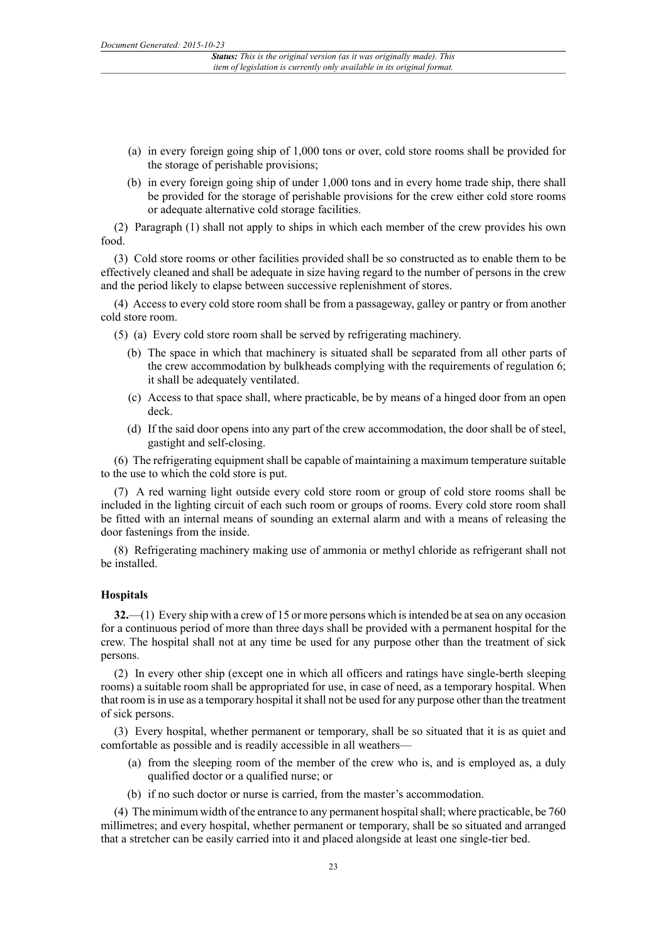- (a) in every foreign going ship of 1,000 tons or over, cold store rooms shall be provided for the storage of perishable provisions;
- (b) in every foreign going ship of under 1,000 tons and in every home trade ship, there shall be provided for the storage of perishable provisions for the crew either cold store rooms or adequate alternative cold storage facilities.

(2) Paragraph (1) shall not apply to ships in which each member of the crew provides his own food.

(3) Cold store rooms or other facilities provided shall be so constructed as to enable them to be effectively cleaned and shall be adequate in size having regard to the number of persons in the crew and the period likely to elapse between successive replenishment of stores.

(4) Access to every cold store room shall be from a passageway, galley or pantry or from another cold store room.

- (5) (a) Every cold store room shall be served by refrigerating machinery.
	- (b) The space in which that machinery is situated shall be separated from all other parts of the crew accommodation by bulkheads complying with the requirements of regulation 6; it shall be adequately ventilated.
	- (c) Access to that space shall, where practicable, be by means of a hinged door from an open deck.
	- (d) If the said door opens into any part of the crew accommodation, the door shall be of steel, gastight and self-closing.

(6) The refrigerating equipment shall be capable of maintaining a maximum temperature suitable to the use to which the cold store is put.

(7) A red warning light outside every cold store room or group of cold store rooms shall be included in the lighting circuit of each such room or groups of rooms. Every cold store room shall be fitted with an internal means of sounding an external alarm and with a means of releasing the door fastenings from the inside.

(8) Refrigerating machinery making use of ammonia or methyl chloride as refrigerant shall not be installed.

#### **Hospitals**

**32.**—(1) Every ship with a crew of 15 or more persons which is intended be at sea on any occasion for a continuous period of more than three days shall be provided with a permanent hospital for the crew. The hospital shall not at any time be used for any purpose other than the treatment of sick persons.

(2) In every other ship (except one in which all officers and ratings have single-berth sleeping rooms) a suitable room shall be appropriated for use, in case of need, as a temporary hospital. When that room is in use as a temporary hospital it shall not be used for any purpose other than the treatment of sick persons.

(3) Every hospital, whether permanent or temporary, shall be so situated that it is as quiet and comfortable as possible and is readily accessible in all weathers—

- (a) from the sleeping room of the member of the crew who is, and is employed as, a duly qualified doctor or a qualified nurse; or
- (b) if no such doctor or nurse is carried, from the master's accommodation.

(4) The minimum width of the entrance to any permanent hospital shall; where practicable, be 760 millimetres; and every hospital, whether permanent or temporary, shall be so situated and arranged that a stretcher can be easily carried into it and placed alongside at least one single-tier bed.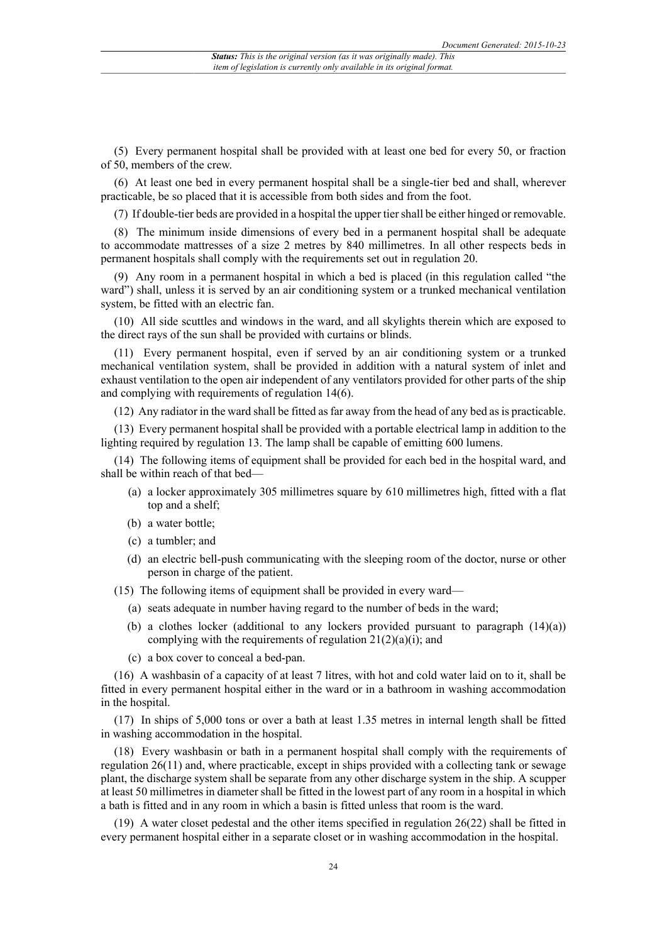(5) Every permanent hospital shall be provided with at least one bed for every 50, or fraction of 50, members of the crew.

(6) At least one bed in every permanent hospital shall be a single-tier bed and shall, wherever practicable, be so placed that it is accessible from both sides and from the foot.

(7) If double-tier beds are provided in a hospital the upper tier shall be either hinged or removable.

(8) The minimum inside dimensions of every bed in a permanent hospital shall be adequate to accommodate mattresses of a size 2 metres by 840 millimetres. In all other respects beds in permanent hospitals shall comply with the requirements set out in regulation 20.

(9) Any room in a permanent hospital in which a bed is placed (in this regulation called "the ward") shall, unless it is served by an air conditioning system or a trunked mechanical ventilation system, be fitted with an electric fan.

(10) All side scuttles and windows in the ward, and all skylights therein which are exposed to the direct rays of the sun shall be provided with curtains or blinds.

(11) Every permanent hospital, even if served by an air conditioning system or a trunked mechanical ventilation system, shall be provided in addition with a natural system of inlet and exhaust ventilation to the open air independent of any ventilators provided for other parts of the ship and complying with requirements of regulation 14(6).

(12) Any radiator in the ward shall be fitted as far away from the head of any bed as is practicable.

(13) Every permanent hospital shall be provided with a portable electrical lamp in addition to the lighting required by regulation 13. The lamp shall be capable of emitting 600 lumens.

(14) The following items of equipment shall be provided for each bed in the hospital ward, and shall be within reach of that bed—

- (a) a locker approximately 305 millimetres square by 610 millimetres high, fitted with a flat top and a shelf;
- (b) a water bottle;
- (c) a tumbler; and
- (d) an electric bell-push communicating with the sleeping room of the doctor, nurse or other person in charge of the patient.

(15) The following items of equipment shall be provided in every ward—

- (a) seats adequate in number having regard to the number of beds in the ward;
- (b) a clothes locker (additional to any lockers provided pursuant to paragraph  $(14)(a)$ ) complying with the requirements of regulation  $21(2)(a)(i)$ ; and
- (c) a box cover to conceal a bed-pan.

(16) A washbasin of a capacity of at least 7 litres, with hot and cold water laid on to it, shall be fitted in every permanent hospital either in the ward or in a bathroom in washing accommodation in the hospital.

(17) In ships of 5,000 tons or over a bath at least 1.35 metres in internal length shall be fitted in washing accommodation in the hospital.

(18) Every washbasin or bath in a permanent hospital shall comply with the requirements of regulation 26(11) and, where practicable, except in ships provided with a collecting tank or sewage plant, the discharge system shall be separate from any other discharge system in the ship. A scupper at least 50 millimetres in diameter shall be fitted in the lowest part of any room in a hospital in which a bath is fitted and in any room in which a basin is fitted unless that room is the ward.

(19) A water closet pedestal and the other items specified in regulation 26(22) shall be fitted in every permanent hospital either in a separate closet or in washing accommodation in the hospital.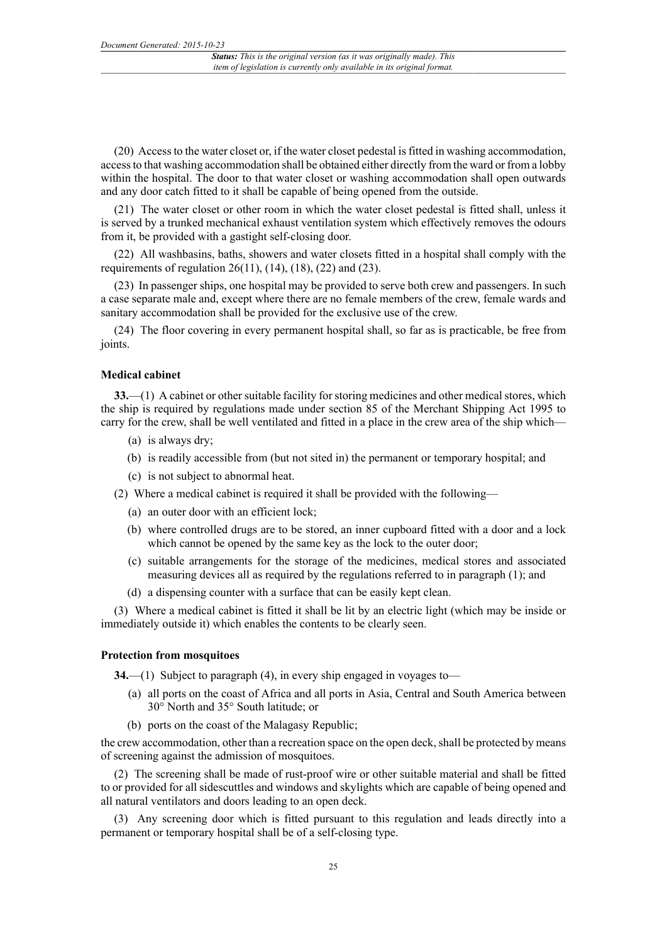(20) Access to the water closet or, if the water closet pedestal is fitted in washing accommodation, access to that washing accommodation shall be obtained either directly from the ward or from a lobby within the hospital. The door to that water closet or washing accommodation shall open outwards and any door catch fitted to it shall be capable of being opened from the outside.

(21) The water closet or other room in which the water closet pedestal is fitted shall, unless it is served by a trunked mechanical exhaust ventilation system which effectively removes the odours from it, be provided with a gastight self-closing door.

(22) All washbasins, baths, showers and water closets fitted in a hospital shall comply with the requirements of regulation  $26(11)$ ,  $(14)$ ,  $(18)$ ,  $(22)$  and  $(23)$ .

(23) In passenger ships, one hospital may be provided to serve both crew and passengers. In such a case separate male and, except where there are no female members of the crew, female wards and sanitary accommodation shall be provided for the exclusive use of the crew.

(24) The floor covering in every permanent hospital shall, so far as is practicable, be free from joints.

#### **Medical cabinet**

**33.**—(1) A cabinet or other suitable facility for storing medicines and other medical stores, which the ship is required by regulations made under section 85 of the Merchant Shipping Act 1995 to carry for the crew, shall be well ventilated and fitted in a place in the crew area of the ship which—

- (a) is always dry;
- (b) is readily accessible from (but not sited in) the permanent or temporary hospital; and
- (c) is not subject to abnormal heat.
- (2) Where a medical cabinet is required it shall be provided with the following—
	- (a) an outer door with an efficient lock;
	- (b) where controlled drugs are to be stored, an inner cupboard fitted with a door and a lock which cannot be opened by the same key as the lock to the outer door;
	- (c) suitable arrangements for the storage of the medicines, medical stores and associated measuring devices all as required by the regulations referred to in paragraph (1); and
	- (d) a dispensing counter with a surface that can be easily kept clean.

(3) Where a medical cabinet is fitted it shall be lit by an electric light (which may be inside or immediately outside it) which enables the contents to be clearly seen.

#### **Protection from mosquitoes**

**34.**—(1) Subject to paragraph (4), in every ship engaged in voyages to—

- (a) all ports on the coast of Africa and all ports in Asia, Central and South America between 30° North and 35° South latitude; or
- (b) ports on the coast of the Malagasy Republic;

the crew accommodation, other than a recreation space on the open deck, shall be protected by means of screening against the admission of mosquitoes.

(2) The screening shall be made of rust-proof wire or other suitable material and shall be fitted to or provided for all sidescuttles and windows and skylights which are capable of being opened and all natural ventilators and doors leading to an open deck.

(3) Any screening door which is fitted pursuant to this regulation and leads directly into a permanent or temporary hospital shall be of a self-closing type.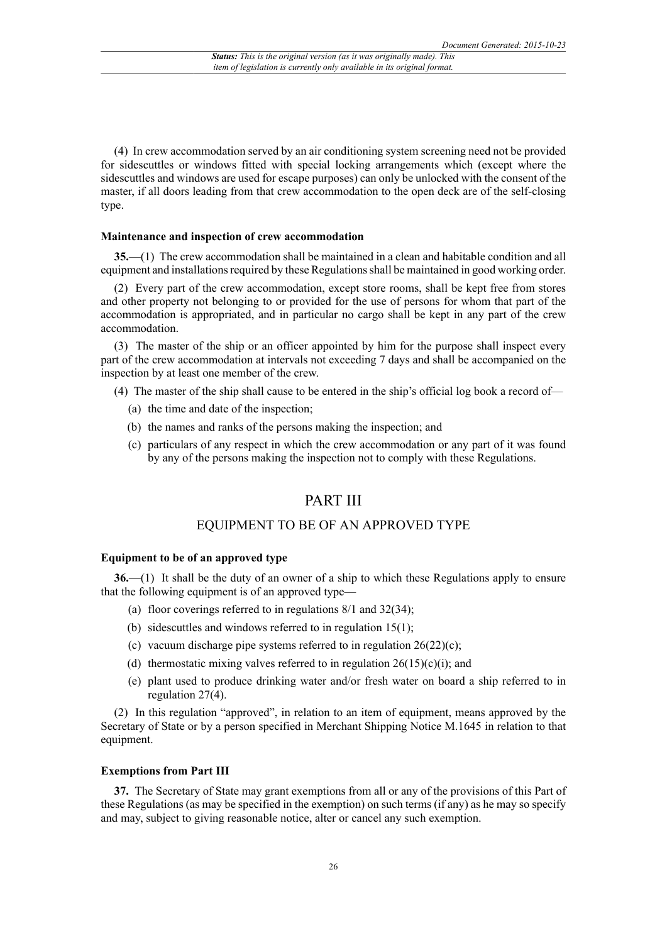(4) In crew accommodation served by an air conditioning system screening need not be provided for sidescuttles or windows fitted with special locking arrangements which (except where the sidescuttles and windows are used for escape purposes) can only be unlocked with the consent of the master, if all doors leading from that crew accommodation to the open deck are of the self-closing type.

#### **Maintenance and inspection of crew accommodation**

**35.**—(1) The crew accommodation shall be maintained in a clean and habitable condition and all equipment and installations required by these Regulations shall be maintained in good working order.

(2) Every part of the crew accommodation, except store rooms, shall be kept free from stores and other property not belonging to or provided for the use of persons for whom that part of the accommodation is appropriated, and in particular no cargo shall be kept in any part of the crew accommodation.

(3) The master of the ship or an officer appointed by him for the purpose shall inspect every part of the crew accommodation at intervals not exceeding 7 days and shall be accompanied on the inspection by at least one member of the crew.

(4) The master of the ship shall cause to be entered in the ship's official log book a record of—

- (a) the time and date of the inspection;
- (b) the names and ranks of the persons making the inspection; and
- (c) particulars of any respect in which the crew accommodation or any part of it was found by any of the persons making the inspection not to comply with these Regulations.

## PART III

#### EQUIPMENT TO BE OF AN APPROVED TYPE

#### **Equipment to be of an approved type**

**36.**—(1) It shall be the duty of an owner of a ship to which these Regulations apply to ensure that the following equipment is of an approved type—

- (a) floor coverings referred to in regulations 8/1 and 32(34);
- (b) sidescuttles and windows referred to in regulation 15(1);
- (c) vacuum discharge pipe systems referred to in regulation  $26(22)(c)$ ;
- (d) thermostatic mixing valves referred to in regulation  $26(15)(c)(i)$ ; and
- (e) plant used to produce drinking water and/or fresh water on board a ship referred to in regulation 27(4).

(2) In this regulation "approved", in relation to an item of equipment, means approved by the Secretary of State or by a person specified in Merchant Shipping Notice M.1645 in relation to that equipment.

#### **Exemptions from Part III**

**37.** The Secretary of State may grant exemptions from all or any of the provisions of this Part of these Regulations (as may be specified in the exemption) on such terms (if any) as he may so specify and may, subject to giving reasonable notice, alter or cancel any such exemption.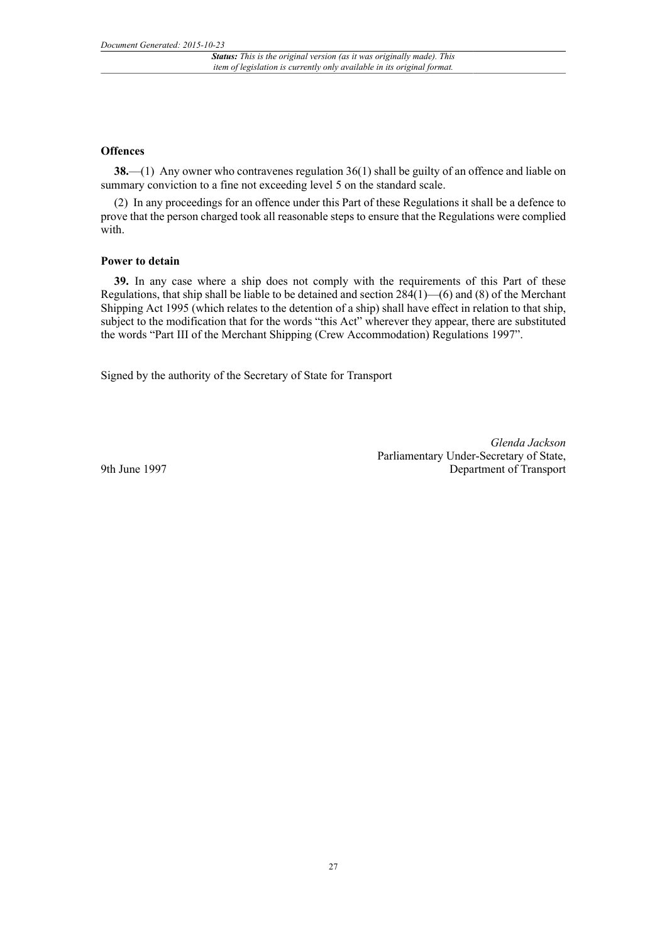#### **Offences**

**38.**—(1) Any owner who contravenes regulation 36(1) shall be guilty of an offence and liable on summary conviction to a fine not exceeding level 5 on the standard scale.

(2) In any proceedings for an offence under this Part of these Regulations it shall be a defence to prove that the person charged took all reasonable steps to ensure that the Regulations were complied with.

#### **Power to detain**

**39.** In any case where a ship does not comply with the requirements of this Part of these Regulations, that ship shall be liable to be detained and section 284(1)—(6) and (8) of the Merchant Shipping Act 1995 (which relates to the detention of a ship) shall have effect in relation to that ship, subject to the modification that for the words "this Act" wherever they appear, there are substituted the words "Part III of the Merchant Shipping (Crew Accommodation) Regulations 1997".

Signed by the authority of the Secretary of State for Transport

*Glenda Jackson* Parliamentary Under-Secretary of State, Department of Transport

9th June 1997

27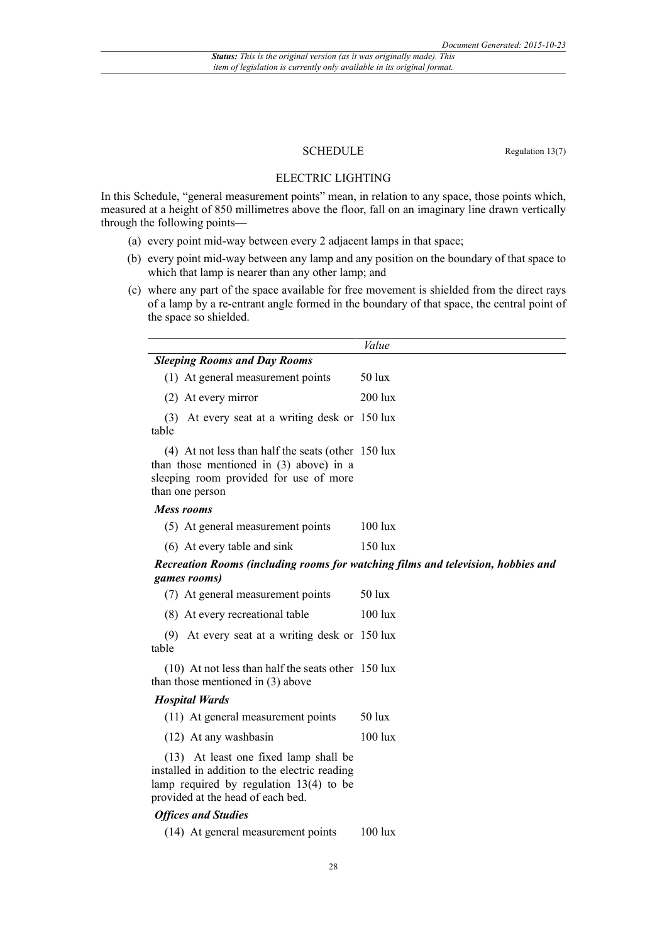#### SCHEDULE Regulation 13(7)

#### ELECTRIC LIGHTING

In this Schedule, "general measurement points" mean, in relation to any space, those points which, measured at a height of 850 millimetres above the floor, fall on an imaginary line drawn vertically through the following points—

- (a) every point mid-way between every 2 adjacent lamps in that space;
- (b) every point mid-way between any lamp and any position on the boundary of that space to which that lamp is nearer than any other lamp; and
- (c) where any part of the space available for free movement is shielded from the direct rays of a lamp by a re-entrant angle formed in the boundary of that space, the central point of the space so shielded.

|                                                                                                                                                                | Value            |  |
|----------------------------------------------------------------------------------------------------------------------------------------------------------------|------------------|--|
| <b>Sleeping Rooms and Day Rooms</b>                                                                                                                            |                  |  |
| (1) At general measurement points                                                                                                                              | $50 \text{ lux}$ |  |
| (2) At every mirror                                                                                                                                            | $200$ lux        |  |
| At every seat at a writing desk or 150 lux<br>(3)<br>table                                                                                                     |                  |  |
| $(4)$ At not less than half the seats (other 150 lux<br>than those mentioned in $(3)$ above) in a<br>sleeping room provided for use of more<br>than one person |                  |  |
| Mess rooms                                                                                                                                                     |                  |  |
| (5) At general measurement points                                                                                                                              | $100$ lux        |  |
| (6) At every table and sink                                                                                                                                    | $150$ lux        |  |
| Recreation Rooms (including rooms for watching films and television, hobbies and                                                                               |                  |  |

#### *Recreation Rooms (including rooms for watching films and television, hobbies and games rooms)*

|       | (7) At general measurement points              | $50 \text{lux}$ |
|-------|------------------------------------------------|-----------------|
|       | (8) At every recreational table                | $100$ lux       |
|       | (9) At every seat at a writing desk or 150 lux |                 |
| table |                                                |                 |

(10) At not less than half the seats other 150 lux than those mentioned in (3) above

#### *Hospital Wards*

| (11) At general measurement points<br>$50 \text{ lux}$ |  |
|--------------------------------------------------------|--|
|--------------------------------------------------------|--|

| (12) At any washbasin | $100 \text{ lux}$ |
|-----------------------|-------------------|
|-----------------------|-------------------|

(13) At least one fixed lamp shall be installed in addition to the electric reading lamp required by regulation 13(4) to be provided at the head of each bed.

#### *Offices and Studies*

(14) At general measurement points 100 lux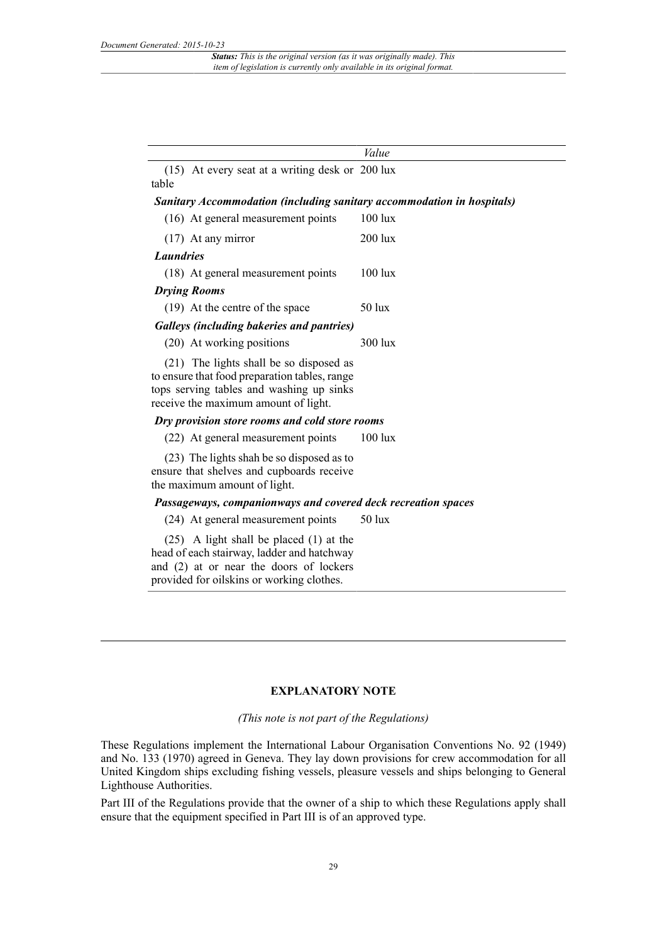|                                                                                                                                                                                   | Value     |  |
|-----------------------------------------------------------------------------------------------------------------------------------------------------------------------------------|-----------|--|
| (15) At every seat at a writing desk or 200 lux<br>table                                                                                                                          |           |  |
| <b>Sanitary Accommodation (including sanitary accommodation in hospitals)</b>                                                                                                     |           |  |
| (16) At general measurement points                                                                                                                                                | $100$ lux |  |
| $(17)$ At any mirror                                                                                                                                                              | $200$ lux |  |
| <b>Laundries</b>                                                                                                                                                                  |           |  |
| (18) At general measurement points                                                                                                                                                | $100$ lux |  |
| <b>Drying Rooms</b>                                                                                                                                                               |           |  |
| (19) At the centre of the space                                                                                                                                                   | $50$ lux  |  |
| <b>Galleys (including bakeries and pantries)</b>                                                                                                                                  |           |  |
| (20) At working positions                                                                                                                                                         | $300$ lux |  |
| (21) The lights shall be so disposed as<br>to ensure that food preparation tables, range<br>tops serving tables and washing up sinks<br>receive the maximum amount of light.      |           |  |
| Dry provision store rooms and cold store rooms                                                                                                                                    |           |  |
| (22) At general measurement points                                                                                                                                                | $100$ lux |  |
| (23) The lights shah be so disposed as to<br>ensure that shelves and cupboards receive<br>the maximum amount of light.                                                            |           |  |
| Passageways, companionways and covered deck recreation spaces                                                                                                                     |           |  |
| (24) At general measurement points                                                                                                                                                | $50$ lux  |  |
| $(25)$ A light shall be placed $(1)$ at the<br>head of each stairway, ladder and hatchway<br>and (2) at or near the doors of lockers<br>provided for oilskins or working clothes. |           |  |

### **EXPLANATORY NOTE**

#### *(This note is not part of the Regulations)*

These Regulations implement the International Labour Organisation Conventions No. 92 (1949) and No. 133 (1970) agreed in Geneva. They lay down provisions for crew accommodation for all United Kingdom ships excluding fishing vessels, pleasure vessels and ships belonging to General Lighthouse Authorities.

Part III of the Regulations provide that the owner of a ship to which these Regulations apply shall ensure that the equipment specified in Part III is of an approved type.